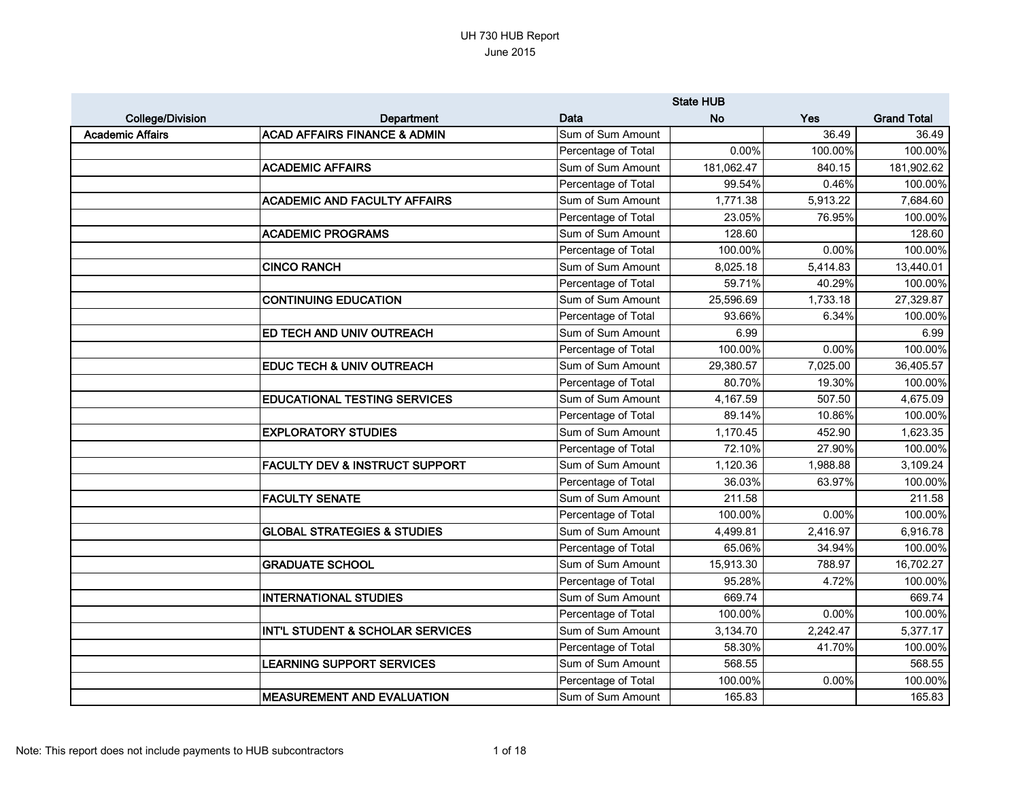|                         |                                           |                     | <b>State HUB</b> |          |                    |
|-------------------------|-------------------------------------------|---------------------|------------------|----------|--------------------|
| <b>College/Division</b> | <b>Department</b>                         | Data                | <b>No</b>        | Yes      | <b>Grand Total</b> |
| <b>Academic Affairs</b> | <b>ACAD AFFAIRS FINANCE &amp; ADMIN</b>   | Sum of Sum Amount   |                  | 36.49    | 36.49              |
|                         |                                           | Percentage of Total | 0.00%            | 100.00%  | 100.00%            |
|                         | <b>ACADEMIC AFFAIRS</b>                   | Sum of Sum Amount   | 181,062.47       | 840.15   | 181,902.62         |
|                         |                                           | Percentage of Total | 99.54%           | 0.46%    | 100.00%            |
|                         | <b>ACADEMIC AND FACULTY AFFAIRS</b>       | Sum of Sum Amount   | 1,771.38         | 5,913.22 | 7,684.60           |
|                         |                                           | Percentage of Total | 23.05%           | 76.95%   | 100.00%            |
|                         | <b>ACADEMIC PROGRAMS</b>                  | Sum of Sum Amount   | 128.60           |          | 128.60             |
|                         |                                           | Percentage of Total | 100.00%          | 0.00%    | 100.00%            |
|                         | <b>CINCO RANCH</b>                        | Sum of Sum Amount   | 8,025.18         | 5,414.83 | 13,440.01          |
|                         |                                           | Percentage of Total | 59.71%           | 40.29%   | 100.00%            |
|                         | <b>CONTINUING EDUCATION</b>               | Sum of Sum Amount   | 25,596.69        | 1,733.18 | 27,329.87          |
|                         |                                           | Percentage of Total | 93.66%           | 6.34%    | 100.00%            |
|                         | <b>ED TECH AND UNIV OUTREACH</b>          | Sum of Sum Amount   | 6.99             |          | 6.99               |
|                         |                                           | Percentage of Total | 100.00%          | 0.00%    | 100.00%            |
|                         | <b>EDUC TECH &amp; UNIV OUTREACH</b>      | Sum of Sum Amount   | 29,380.57        | 7,025.00 | 36,405.57          |
|                         |                                           | Percentage of Total | 80.70%           | 19.30%   | 100.00%            |
|                         | <b>EDUCATIONAL TESTING SERVICES</b>       | Sum of Sum Amount   | 4,167.59         | 507.50   | 4,675.09           |
|                         |                                           | Percentage of Total | 89.14%           | 10.86%   | 100.00%            |
|                         | <b>EXPLORATORY STUDIES</b>                | Sum of Sum Amount   | 1,170.45         | 452.90   | 1,623.35           |
|                         |                                           | Percentage of Total | 72.10%           | 27.90%   | 100.00%            |
|                         | <b>FACULTY DEV &amp; INSTRUCT SUPPORT</b> | Sum of Sum Amount   | 1,120.36         | 1,988.88 | 3,109.24           |
|                         |                                           | Percentage of Total | 36.03%           | 63.97%   | 100.00%            |
|                         | <b>FACULTY SENATE</b>                     | Sum of Sum Amount   | 211.58           |          | 211.58             |
|                         |                                           | Percentage of Total | 100.00%          | 0.00%    | 100.00%            |
|                         | <b>GLOBAL STRATEGIES &amp; STUDIES</b>    | Sum of Sum Amount   | 4,499.81         | 2,416.97 | 6,916.78           |
|                         |                                           | Percentage of Total | 65.06%           | 34.94%   | 100.00%            |
|                         | <b>GRADUATE SCHOOL</b>                    | Sum of Sum Amount   | 15,913.30        | 788.97   | 16,702.27          |
|                         |                                           | Percentage of Total | 95.28%           | 4.72%    | 100.00%            |
|                         | <b>INTERNATIONAL STUDIES</b>              | Sum of Sum Amount   | 669.74           |          | 669.74             |
|                         |                                           | Percentage of Total | 100.00%          | 0.00%    | 100.00%            |
|                         | INT'L STUDENT & SCHOLAR SERVICES          | Sum of Sum Amount   | 3,134.70         | 2,242.47 | 5,377.17           |
|                         |                                           | Percentage of Total | 58.30%           | 41.70%   | 100.00%            |
|                         | <b>LEARNING SUPPORT SERVICES</b>          | Sum of Sum Amount   | 568.55           |          | 568.55             |
|                         |                                           | Percentage of Total | 100.00%          | 0.00%    | 100.00%            |
|                         | <b>MEASUREMENT AND EVALUATION</b>         | Sum of Sum Amount   | 165.83           |          | 165.83             |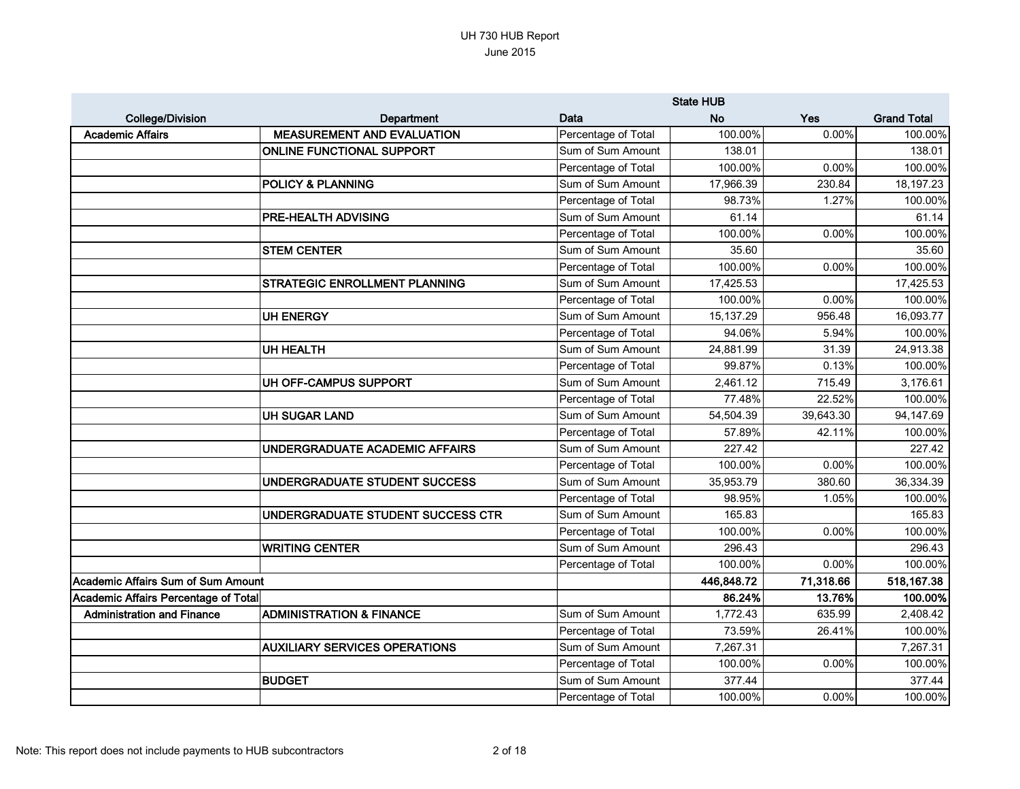|                                      |                                      |                     | <b>State HUB</b> |           |                    |
|--------------------------------------|--------------------------------------|---------------------|------------------|-----------|--------------------|
| <b>College/Division</b>              | Department                           | Data                | <b>No</b>        | Yes       | <b>Grand Total</b> |
| <b>Academic Affairs</b>              | <b>MEASUREMENT AND EVALUATION</b>    | Percentage of Total | 100.00%          | 0.00%     | 100.00%            |
|                                      | <b>ONLINE FUNCTIONAL SUPPORT</b>     | Sum of Sum Amount   | 138.01           |           | 138.01             |
|                                      |                                      | Percentage of Total | 100.00%          | 0.00%     | 100.00%            |
|                                      | <b>POLICY &amp; PLANNING</b>         | Sum of Sum Amount   | 17,966.39        | 230.84    | 18,197.23          |
|                                      |                                      | Percentage of Total | 98.73%           | 1.27%     | 100.00%            |
|                                      | PRE-HEALTH ADVISING                  | Sum of Sum Amount   | 61.14            |           | 61.14              |
|                                      |                                      | Percentage of Total | 100.00%          | 0.00%     | 100.00%            |
|                                      | <b>STEM CENTER</b>                   | Sum of Sum Amount   | 35.60            |           | 35.60              |
|                                      |                                      | Percentage of Total | 100.00%          | 0.00%     | 100.00%            |
|                                      | STRATEGIC ENROLLMENT PLANNING        | Sum of Sum Amount   | 17,425.53        |           | 17,425.53          |
|                                      |                                      | Percentage of Total | 100.00%          | 0.00%     | 100.00%            |
|                                      | <b>UH ENERGY</b>                     | Sum of Sum Amount   | 15,137.29        | 956.48    | 16,093.77          |
|                                      |                                      | Percentage of Total | 94.06%           | 5.94%     | 100.00%            |
|                                      | <b>UH HEALTH</b>                     | Sum of Sum Amount   | 24,881.99        | 31.39     | 24,913.38          |
|                                      |                                      | Percentage of Total | 99.87%           | 0.13%     | 100.00%            |
|                                      | UH OFF-CAMPUS SUPPORT                | Sum of Sum Amount   | 2,461.12         | 715.49    | 3,176.61           |
|                                      |                                      | Percentage of Total | 77.48%           | 22.52%    | 100.00%            |
|                                      | <b>UH SUGAR LAND</b>                 | Sum of Sum Amount   | 54,504.39        | 39,643.30 | 94,147.69          |
|                                      |                                      | Percentage of Total | 57.89%           | 42.11%    | 100.00%            |
|                                      | UNDERGRADUATE ACADEMIC AFFAIRS       | Sum of Sum Amount   | 227.42           |           | 227.42             |
|                                      |                                      | Percentage of Total | 100.00%          | 0.00%     | 100.00%            |
|                                      | UNDERGRADUATE STUDENT SUCCESS        | Sum of Sum Amount   | 35,953.79        | 380.60    | 36,334.39          |
|                                      |                                      | Percentage of Total | 98.95%           | 1.05%     | 100.00%            |
|                                      | UNDERGRADUATE STUDENT SUCCESS CTR    | Sum of Sum Amount   | 165.83           |           | 165.83             |
|                                      |                                      | Percentage of Total | 100.00%          | 0.00%     | 100.00%            |
|                                      | <b>WRITING CENTER</b>                | Sum of Sum Amount   | 296.43           |           | 296.43             |
|                                      |                                      | Percentage of Total | 100.00%          | 0.00%     | 100.00%            |
| Academic Affairs Sum of Sum Amount   |                                      |                     | 446,848.72       | 71,318.66 | 518,167.38         |
| Academic Affairs Percentage of Total |                                      |                     | 86.24%           | 13.76%    | 100.00%            |
| <b>Administration and Finance</b>    | <b>ADMINISTRATION &amp; FINANCE</b>  | Sum of Sum Amount   | 1,772.43         | 635.99    | 2,408.42           |
|                                      |                                      | Percentage of Total | 73.59%           | 26.41%    | 100.00%            |
|                                      | <b>AUXILIARY SERVICES OPERATIONS</b> | Sum of Sum Amount   | 7,267.31         |           | 7,267.31           |
|                                      |                                      | Percentage of Total | 100.00%          | 0.00%     | 100.00%            |
|                                      | <b>BUDGET</b>                        | Sum of Sum Amount   | 377.44           |           | 377.44             |
|                                      |                                      | Percentage of Total | 100.00%          | $0.00\%$  | 100.00%            |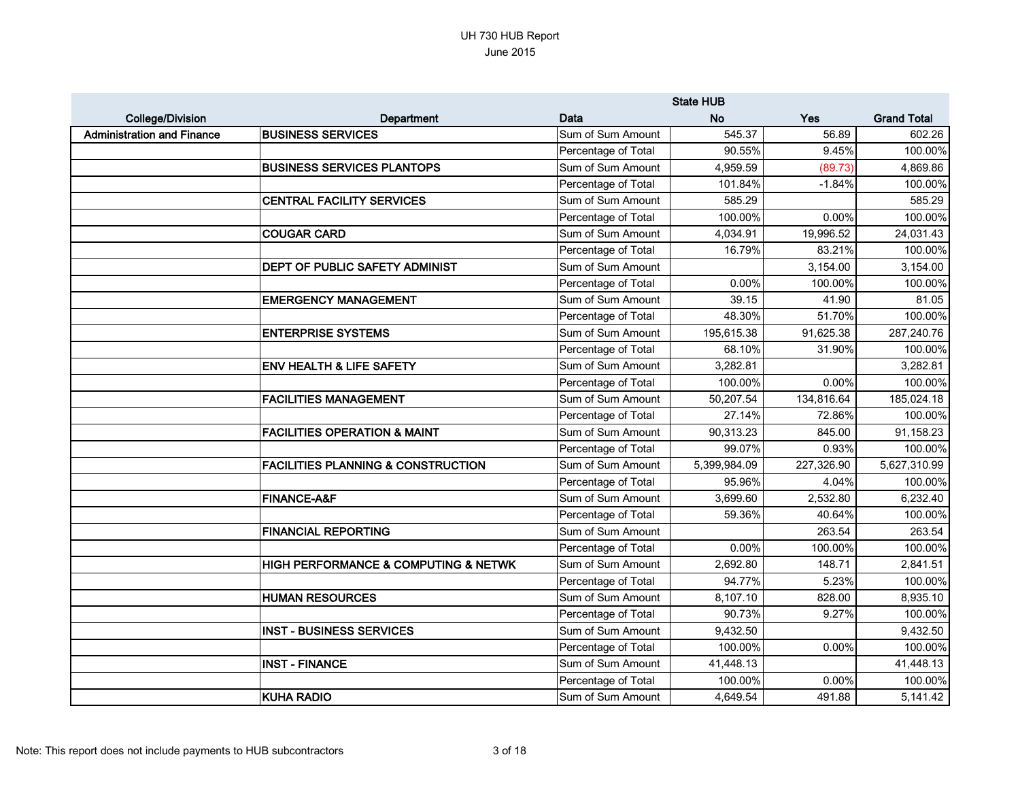|                                   |                                               |                     | <b>State HUB</b> |            |                    |
|-----------------------------------|-----------------------------------------------|---------------------|------------------|------------|--------------------|
| <b>College/Division</b>           | Department                                    | Data                | <b>No</b>        | Yes        | <b>Grand Total</b> |
| <b>Administration and Finance</b> | <b>BUSINESS SERVICES</b>                      | Sum of Sum Amount   | 545.37           | 56.89      | 602.26             |
|                                   |                                               | Percentage of Total | 90.55%           | 9.45%      | 100.00%            |
|                                   | <b>BUSINESS SERVICES PLANTOPS</b>             | Sum of Sum Amount   | 4,959.59         | (89.73)    | 4,869.86           |
|                                   |                                               | Percentage of Total | 101.84%          | $-1.84%$   | 100.00%            |
|                                   | <b>CENTRAL FACILITY SERVICES</b>              | Sum of Sum Amount   | 585.29           |            | 585.29             |
|                                   |                                               | Percentage of Total | 100.00%          | 0.00%      | 100.00%            |
|                                   | <b>COUGAR CARD</b>                            | Sum of Sum Amount   | 4,034.91         | 19,996.52  | 24,031.43          |
|                                   |                                               | Percentage of Total | 16.79%           | 83.21%     | 100.00%            |
|                                   | DEPT OF PUBLIC SAFETY ADMINIST                | Sum of Sum Amount   |                  | 3,154.00   | 3,154.00           |
|                                   |                                               | Percentage of Total | 0.00%            | 100.00%    | 100.00%            |
|                                   | <b>EMERGENCY MANAGEMENT</b>                   | Sum of Sum Amount   | 39.15            | 41.90      | 81.05              |
|                                   |                                               | Percentage of Total | 48.30%           | 51.70%     | 100.00%            |
|                                   | <b>ENTERPRISE SYSTEMS</b>                     | Sum of Sum Amount   | 195,615.38       | 91,625.38  | 287,240.76         |
|                                   |                                               | Percentage of Total | 68.10%           | 31.90%     | 100.00%            |
|                                   | <b>ENV HEALTH &amp; LIFE SAFETY</b>           | Sum of Sum Amount   | 3,282.81         |            | 3,282.81           |
|                                   |                                               | Percentage of Total | 100.00%          | 0.00%      | 100.00%            |
|                                   | <b>FACILITIES MANAGEMENT</b>                  | Sum of Sum Amount   | 50,207.54        | 134,816.64 | 185,024.18         |
|                                   |                                               | Percentage of Total | 27.14%           | 72.86%     | 100.00%            |
|                                   | <b>FACILITIES OPERATION &amp; MAINT</b>       | Sum of Sum Amount   | 90,313.23        | 845.00     | 91,158.23          |
|                                   |                                               | Percentage of Total | 99.07%           | 0.93%      | 100.00%            |
|                                   | <b>FACILITIES PLANNING &amp; CONSTRUCTION</b> | Sum of Sum Amount   | 5,399,984.09     | 227,326.90 | 5,627,310.99       |
|                                   |                                               | Percentage of Total | 95.96%           | 4.04%      | 100.00%            |
|                                   | <b>FINANCE-A&amp;F</b>                        | Sum of Sum Amount   | 3,699.60         | 2,532.80   | 6,232.40           |
|                                   |                                               | Percentage of Total | 59.36%           | 40.64%     | 100.00%            |
|                                   | <b>FINANCIAL REPORTING</b>                    | Sum of Sum Amount   |                  | 263.54     | 263.54             |
|                                   |                                               | Percentage of Total | 0.00%            | 100.00%    | 100.00%            |
|                                   | HIGH PERFORMANCE & COMPUTING & NETWK          | Sum of Sum Amount   | 2,692.80         | 148.71     | 2,841.51           |
|                                   |                                               | Percentage of Total | 94.77%           | 5.23%      | 100.00%            |
|                                   | <b>HUMAN RESOURCES</b>                        | Sum of Sum Amount   | 8,107.10         | 828.00     | 8,935.10           |
|                                   |                                               | Percentage of Total | 90.73%           | 9.27%      | 100.00%            |
|                                   | <b>INST - BUSINESS SERVICES</b>               | Sum of Sum Amount   | 9,432.50         |            | 9,432.50           |
|                                   |                                               | Percentage of Total | 100.00%          | 0.00%      | 100.00%            |
|                                   | <b>INST - FINANCE</b>                         | Sum of Sum Amount   | 41,448.13        |            | 41,448.13          |
|                                   |                                               | Percentage of Total | 100.00%          | 0.00%      | 100.00%            |
|                                   | <b>KUHA RADIO</b>                             | Sum of Sum Amount   | 4,649.54         | 491.88     | 5,141.42           |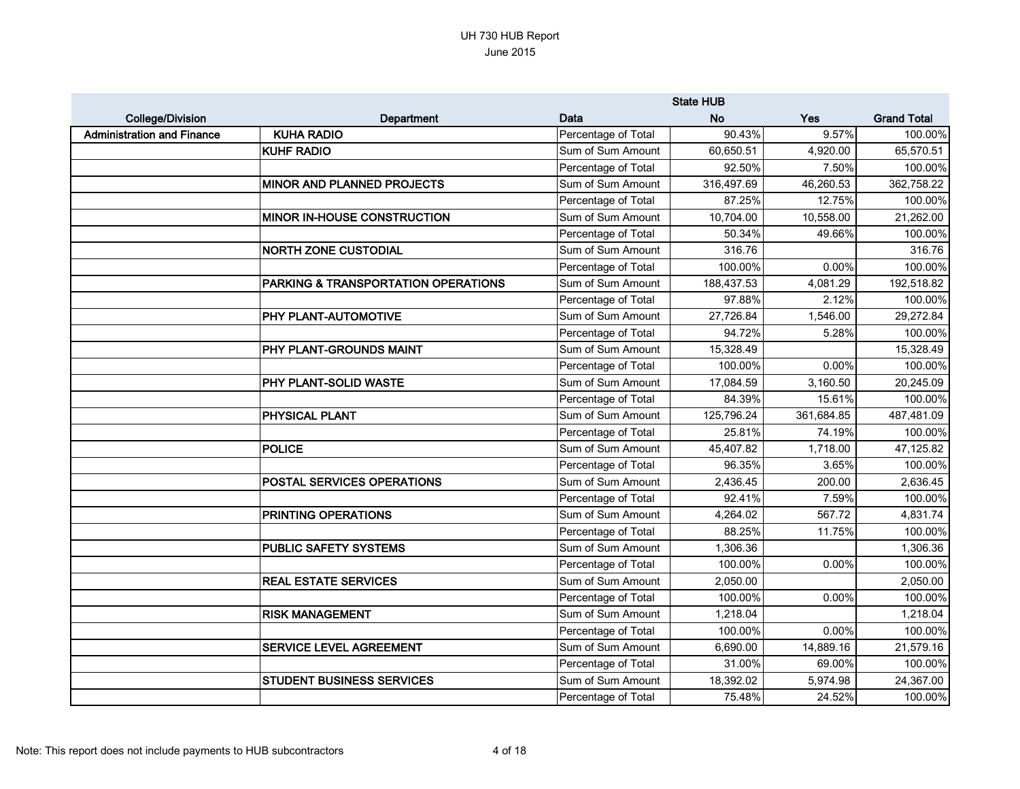|                                   |                                     |                     | <b>State HUB</b> |            |                    |
|-----------------------------------|-------------------------------------|---------------------|------------------|------------|--------------------|
| <b>College/Division</b>           | Department                          | Data                | <b>No</b>        | Yes        | <b>Grand Total</b> |
| <b>Administration and Finance</b> | <b>KUHA RADIO</b>                   | Percentage of Total | 90.43%           | 9.57%      | 100.00%            |
|                                   | <b>KUHF RADIO</b>                   | Sum of Sum Amount   | 60,650.51        | 4,920.00   | 65,570.51          |
|                                   |                                     | Percentage of Total | 92.50%           | 7.50%      | 100.00%            |
|                                   | MINOR AND PLANNED PROJECTS          | Sum of Sum Amount   | 316,497.69       | 46,260.53  | 362,758.22         |
|                                   |                                     | Percentage of Total | 87.25%           | 12.75%     | 100.00%            |
|                                   | <b>MINOR IN-HOUSE CONSTRUCTION</b>  | Sum of Sum Amount   | 10,704.00        | 10,558.00  | 21,262.00          |
|                                   |                                     | Percentage of Total | 50.34%           | 49.66%     | 100.00%            |
|                                   | <b>NORTH ZONE CUSTODIAL</b>         | Sum of Sum Amount   | 316.76           |            | 316.76             |
|                                   |                                     | Percentage of Total | 100.00%          | 0.00%      | 100.00%            |
|                                   | PARKING & TRANSPORTATION OPERATIONS | Sum of Sum Amount   | 188,437.53       | 4,081.29   | 192,518.82         |
|                                   |                                     | Percentage of Total | 97.88%           | 2.12%      | 100.00%            |
|                                   | PHY PLANT-AUTOMOTIVE                | Sum of Sum Amount   | 27,726.84        | 1,546.00   | 29,272.84          |
|                                   |                                     | Percentage of Total | 94.72%           | 5.28%      | 100.00%            |
|                                   | PHY PLANT-GROUNDS MAINT             | Sum of Sum Amount   | 15,328.49        |            | 15,328.49          |
|                                   |                                     | Percentage of Total | 100.00%          | 0.00%      | 100.00%            |
|                                   | PHY PLANT-SOLID WASTE               | Sum of Sum Amount   | 17,084.59        | 3,160.50   | 20,245.09          |
|                                   |                                     | Percentage of Total | 84.39%           | 15.61%     | 100.00%            |
|                                   | PHYSICAL PLANT                      | Sum of Sum Amount   | 125,796.24       | 361,684.85 | 487,481.09         |
|                                   |                                     | Percentage of Total | 25.81%           | 74.19%     | 100.00%            |
|                                   | <b>POLICE</b>                       | Sum of Sum Amount   | 45,407.82        | 1,718.00   | 47,125.82          |
|                                   |                                     | Percentage of Total | 96.35%           | 3.65%      | 100.00%            |
|                                   | POSTAL SERVICES OPERATIONS          | Sum of Sum Amount   | 2,436.45         | 200.00     | 2,636.45           |
|                                   |                                     | Percentage of Total | 92.41%           | 7.59%      | 100.00%            |
|                                   | PRINTING OPERATIONS                 | Sum of Sum Amount   | 4,264.02         | 567.72     | 4,831.74           |
|                                   |                                     | Percentage of Total | 88.25%           | 11.75%     | 100.00%            |
|                                   | PUBLIC SAFETY SYSTEMS               | Sum of Sum Amount   | 1,306.36         |            | 1,306.36           |
|                                   |                                     | Percentage of Total | 100.00%          | 0.00%      | 100.00%            |
|                                   | <b>REAL ESTATE SERVICES</b>         | Sum of Sum Amount   | 2,050.00         |            | 2,050.00           |
|                                   |                                     | Percentage of Total | 100.00%          | 0.00%      | 100.00%            |
|                                   | <b>RISK MANAGEMENT</b>              | Sum of Sum Amount   | 1,218.04         |            | 1,218.04           |
|                                   |                                     | Percentage of Total | 100.00%          | 0.00%      | 100.00%            |
|                                   | SERVICE LEVEL AGREEMENT             | Sum of Sum Amount   | 6,690.00         | 14,889.16  | 21,579.16          |
|                                   |                                     | Percentage of Total | 31.00%           | 69.00%     | 100.00%            |
|                                   | <b>STUDENT BUSINESS SERVICES</b>    | Sum of Sum Amount   | 18,392.02        | 5,974.98   | 24,367.00          |
|                                   |                                     | Percentage of Total | 75.48%           | 24.52%     | 100.00%            |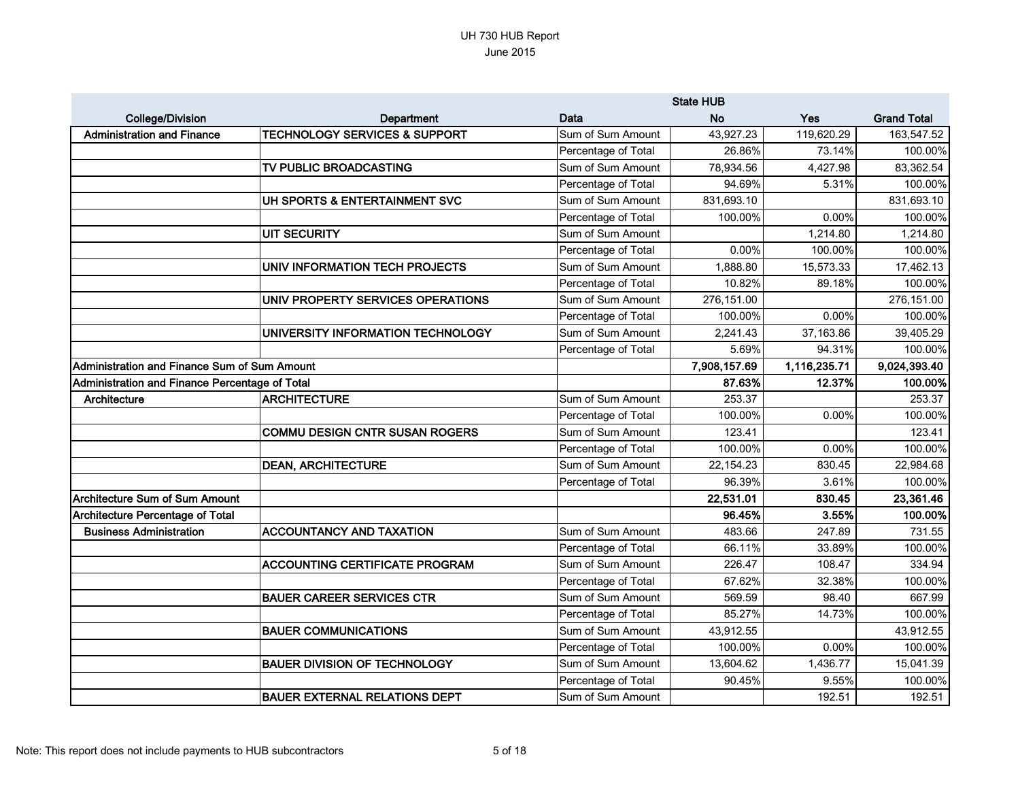|                                                |                                          |                     | <b>State HUB</b> |              |                    |
|------------------------------------------------|------------------------------------------|---------------------|------------------|--------------|--------------------|
| <b>College/Division</b>                        | <b>Department</b>                        | Data                | <b>No</b>        | Yes          | <b>Grand Total</b> |
| <b>Administration and Finance</b>              | <b>TECHNOLOGY SERVICES &amp; SUPPORT</b> | Sum of Sum Amount   | 43,927.23        | 119,620.29   | 163,547.52         |
|                                                |                                          | Percentage of Total | 26.86%           | 73.14%       | 100.00%            |
|                                                | TV PUBLIC BROADCASTING                   | Sum of Sum Amount   | 78,934.56        | 4,427.98     | 83,362.54          |
|                                                |                                          | Percentage of Total | 94.69%           | 5.31%        | 100.00%            |
|                                                | UH SPORTS & ENTERTAINMENT SVC            | Sum of Sum Amount   | 831,693.10       |              | 831,693.10         |
|                                                |                                          | Percentage of Total | 100.00%          | 0.00%        | 100.00%            |
|                                                | <b>UIT SECURITY</b>                      | Sum of Sum Amount   |                  | 1,214.80     | 1,214.80           |
|                                                |                                          | Percentage of Total | 0.00%            | 100.00%      | 100.00%            |
|                                                | UNIV INFORMATION TECH PROJECTS           | Sum of Sum Amount   | 1,888.80         | 15,573.33    | 17,462.13          |
|                                                |                                          | Percentage of Total | 10.82%           | 89.18%       | 100.00%            |
|                                                | UNIV PROPERTY SERVICES OPERATIONS        | Sum of Sum Amount   | 276,151.00       |              | 276,151.00         |
|                                                |                                          | Percentage of Total | 100.00%          | 0.00%        | 100.00%            |
|                                                | UNIVERSITY INFORMATION TECHNOLOGY        | Sum of Sum Amount   | 2,241.43         | 37,163.86    | 39,405.29          |
|                                                |                                          | Percentage of Total | 5.69%            | 94.31%       | 100.00%            |
| Administration and Finance Sum of Sum Amount   |                                          |                     | 7,908,157.69     | 1,116,235.71 | 9,024,393.40       |
| Administration and Finance Percentage of Total |                                          |                     | 87.63%           | 12.37%       | 100.00%            |
| Architecture                                   | <b>ARCHITECTURE</b>                      | Sum of Sum Amount   | 253.37           |              | 253.37             |
|                                                |                                          | Percentage of Total | 100.00%          | 0.00%        | 100.00%            |
|                                                | <b>COMMU DESIGN CNTR SUSAN ROGERS</b>    | Sum of Sum Amount   | 123.41           |              | 123.41             |
|                                                |                                          | Percentage of Total | 100.00%          | 0.00%        | 100.00%            |
|                                                | <b>DEAN, ARCHITECTURE</b>                | Sum of Sum Amount   | 22,154.23        | 830.45       | 22,984.68          |
|                                                |                                          | Percentage of Total | 96.39%           | 3.61%        | 100.00%            |
| Architecture Sum of Sum Amount                 |                                          |                     | 22,531.01        | 830.45       | 23,361.46          |
| <b>Architecture Percentage of Total</b>        |                                          |                     | 96.45%           | 3.55%        | 100.00%            |
| <b>Business Administration</b>                 | <b>ACCOUNTANCY AND TAXATION</b>          | Sum of Sum Amount   | 483.66           | 247.89       | 731.55             |
|                                                |                                          | Percentage of Total | 66.11%           | 33.89%       | 100.00%            |
|                                                | <b>ACCOUNTING CERTIFICATE PROGRAM</b>    | Sum of Sum Amount   | 226.47           | 108.47       | 334.94             |
|                                                |                                          | Percentage of Total | 67.62%           | 32.38%       | 100.00%            |
|                                                | <b>BAUER CAREER SERVICES CTR</b>         | Sum of Sum Amount   | 569.59           | 98.40        | 667.99             |
|                                                |                                          | Percentage of Total | 85.27%           | 14.73%       | 100.00%            |
|                                                | <b>BAUER COMMUNICATIONS</b>              | Sum of Sum Amount   | 43,912.55        |              | 43,912.55          |
|                                                |                                          | Percentage of Total | 100.00%          | 0.00%        | 100.00%            |
|                                                | <b>BAUER DIVISION OF TECHNOLOGY</b>      | Sum of Sum Amount   | 13,604.62        | 1,436.77     | 15,041.39          |
|                                                |                                          | Percentage of Total | 90.45%           | 9.55%        | 100.00%            |
|                                                | <b>BAUER EXTERNAL RELATIONS DEPT</b>     | Sum of Sum Amount   |                  | 192.51       | 192.51             |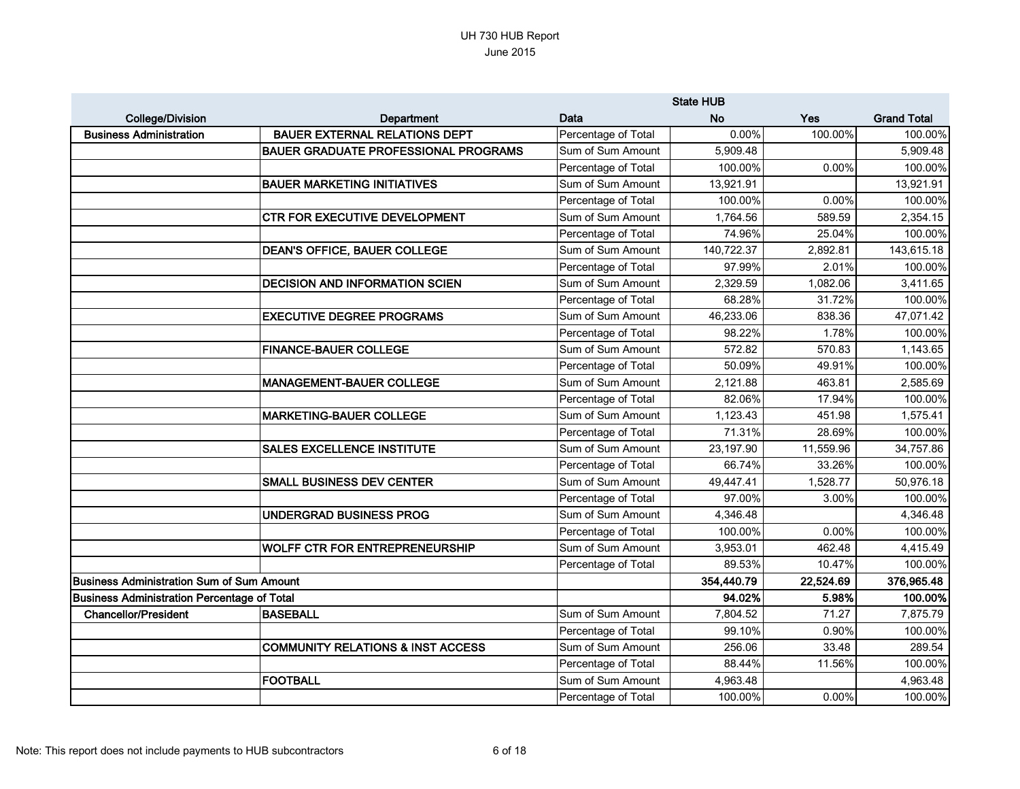|                                                    |                                              |                     | <b>State HUB</b> |           |                    |
|----------------------------------------------------|----------------------------------------------|---------------------|------------------|-----------|--------------------|
| <b>College/Division</b>                            | Department                                   | Data                | <b>No</b>        | Yes       | <b>Grand Total</b> |
| <b>Business Administration</b>                     | <b>BAUER EXTERNAL RELATIONS DEPT</b>         | Percentage of Total | 0.00%            | 100.00%   | 100.00%            |
|                                                    | <b>BAUER GRADUATE PROFESSIONAL PROGRAMS</b>  | Sum of Sum Amount   | 5,909.48         |           | 5,909.48           |
|                                                    |                                              | Percentage of Total | 100.00%          | 0.00%     | 100.00%            |
|                                                    | <b>BAUER MARKETING INITIATIVES</b>           | Sum of Sum Amount   | 13,921.91        |           | 13,921.91          |
|                                                    |                                              | Percentage of Total | 100.00%          | 0.00%     | 100.00%            |
|                                                    | <b>CTR FOR EXECUTIVE DEVELOPMENT</b>         | Sum of Sum Amount   | 1,764.56         | 589.59    | 2,354.15           |
|                                                    |                                              | Percentage of Total | 74.96%           | 25.04%    | 100.00%            |
|                                                    | <b>DEAN'S OFFICE, BAUER COLLEGE</b>          | Sum of Sum Amount   | 140,722.37       | 2,892.81  | 143,615.18         |
|                                                    |                                              | Percentage of Total | 97.99%           | 2.01%     | 100.00%            |
|                                                    | <b>DECISION AND INFORMATION SCIEN</b>        | Sum of Sum Amount   | 2,329.59         | 1,082.06  | 3,411.65           |
|                                                    |                                              | Percentage of Total | 68.28%           | 31.72%    | 100.00%            |
|                                                    | <b>EXECUTIVE DEGREE PROGRAMS</b>             | Sum of Sum Amount   | 46,233.06        | 838.36    | 47,071.42          |
|                                                    |                                              | Percentage of Total | 98.22%           | 1.78%     | 100.00%            |
|                                                    | <b>FINANCE-BAUER COLLEGE</b>                 | Sum of Sum Amount   | 572.82           | 570.83    | 1,143.65           |
|                                                    |                                              | Percentage of Total | 50.09%           | 49.91%    | 100.00%            |
|                                                    | <b>MANAGEMENT-BAUER COLLEGE</b>              | Sum of Sum Amount   | 2,121.88         | 463.81    | 2,585.69           |
|                                                    |                                              | Percentage of Total | 82.06%           | 17.94%    | 100.00%            |
|                                                    | <b>MARKETING-BAUER COLLEGE</b>               | Sum of Sum Amount   | 1,123.43         | 451.98    | 1,575.41           |
|                                                    |                                              | Percentage of Total | 71.31%           | 28.69%    | 100.00%            |
|                                                    | <b>SALES EXCELLENCE INSTITUTE</b>            | Sum of Sum Amount   | 23,197.90        | 11,559.96 | 34,757.86          |
|                                                    |                                              | Percentage of Total | 66.74%           | 33.26%    | 100.00%            |
|                                                    | <b>SMALL BUSINESS DEV CENTER</b>             | Sum of Sum Amount   | 49,447.41        | 1,528.77  | 50,976.18          |
|                                                    |                                              | Percentage of Total | 97.00%           | 3.00%     | 100.00%            |
|                                                    | UNDERGRAD BUSINESS PROG                      | Sum of Sum Amount   | 4,346.48         |           | 4,346.48           |
|                                                    |                                              | Percentage of Total | 100.00%          | 0.00%     | 100.00%            |
|                                                    | <b>WOLFF CTR FOR ENTREPRENEURSHIP</b>        | Sum of Sum Amount   | 3,953.01         | 462.48    | 4,415.49           |
|                                                    |                                              | Percentage of Total | 89.53%           | 10.47%    | 100.00%            |
| <b>Business Administration Sum of Sum Amount</b>   |                                              |                     | 354,440.79       | 22,524.69 | 376,965.48         |
| <b>Business Administration Percentage of Total</b> |                                              |                     | 94.02%           | 5.98%     | 100.00%            |
| <b>Chancellor/President</b>                        | <b>BASEBALL</b>                              | Sum of Sum Amount   | 7,804.52         | 71.27     | 7,875.79           |
|                                                    |                                              | Percentage of Total | 99.10%           | 0.90%     | 100.00%            |
|                                                    | <b>COMMUNITY RELATIONS &amp; INST ACCESS</b> | Sum of Sum Amount   | 256.06           | 33.48     | 289.54             |
|                                                    |                                              | Percentage of Total | 88.44%           | 11.56%    | 100.00%            |
|                                                    | <b>FOOTBALL</b>                              | Sum of Sum Amount   | 4,963.48         |           | 4,963.48           |
|                                                    |                                              | Percentage of Total | 100.00%          | 0.00%     | 100.00%            |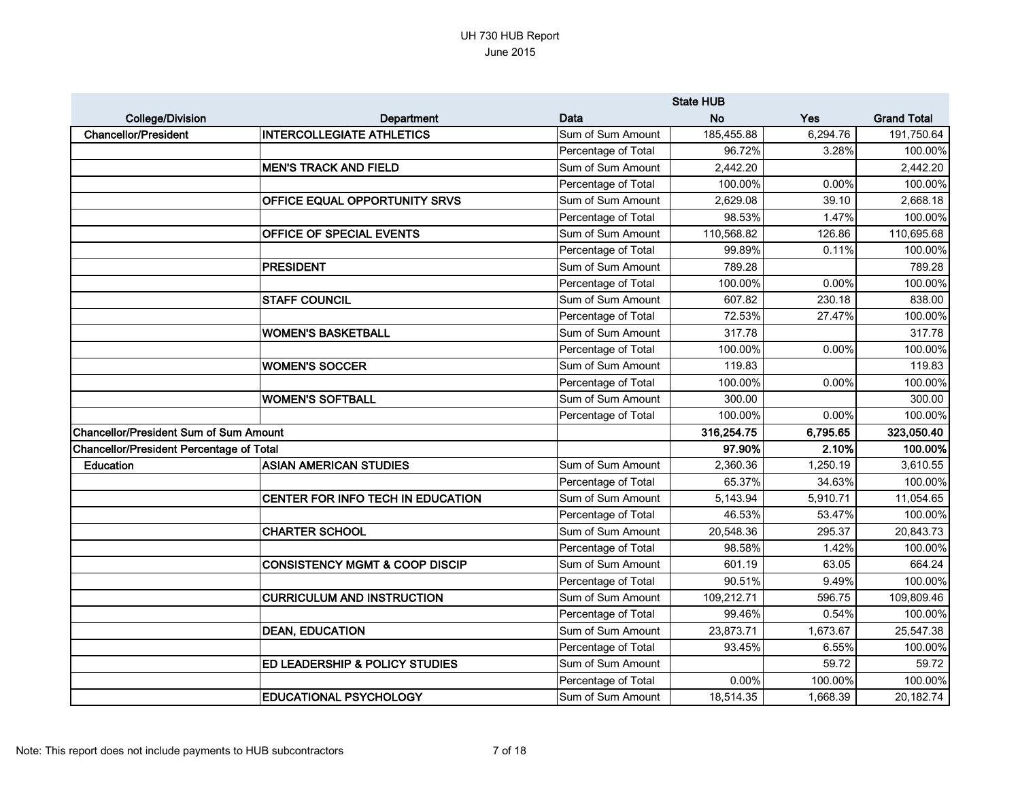|                                                 |                                           |                     | <b>State HUB</b> |          |                    |
|-------------------------------------------------|-------------------------------------------|---------------------|------------------|----------|--------------------|
| <b>College/Division</b>                         | <b>Department</b>                         | Data                | <b>No</b>        | Yes      | <b>Grand Total</b> |
| <b>Chancellor/President</b>                     | <b>INTERCOLLEGIATE ATHLETICS</b>          | Sum of Sum Amount   | 185,455.88       | 6,294.76 | 191,750.64         |
|                                                 |                                           | Percentage of Total | 96.72%           | 3.28%    | 100.00%            |
|                                                 | <b>MEN'S TRACK AND FIELD</b>              | Sum of Sum Amount   | 2,442.20         |          | 2,442.20           |
|                                                 |                                           | Percentage of Total | 100.00%          | 0.00%    | 100.00%            |
|                                                 | <b>OFFICE EQUAL OPPORTUNITY SRVS</b>      | Sum of Sum Amount   | 2,629.08         | 39.10    | 2,668.18           |
|                                                 |                                           | Percentage of Total | 98.53%           | 1.47%    | 100.00%            |
|                                                 | <b>OFFICE OF SPECIAL EVENTS</b>           | Sum of Sum Amount   | 110,568.82       | 126.86   | 110,695.68         |
|                                                 |                                           | Percentage of Total | 99.89%           | 0.11%    | 100.00%            |
|                                                 | <b>PRESIDENT</b>                          | Sum of Sum Amount   | 789.28           |          | 789.28             |
|                                                 |                                           | Percentage of Total | 100.00%          | 0.00%    | 100.00%            |
|                                                 | <b>STAFF COUNCIL</b>                      | Sum of Sum Amount   | 607.82           | 230.18   | 838.00             |
|                                                 |                                           | Percentage of Total | 72.53%           | 27.47%   | 100.00%            |
|                                                 | <b>WOMEN'S BASKETBALL</b>                 | Sum of Sum Amount   | 317.78           |          | 317.78             |
|                                                 |                                           | Percentage of Total | 100.00%          | 0.00%    | 100.00%            |
|                                                 | <b>WOMEN'S SOCCER</b>                     | Sum of Sum Amount   | 119.83           |          | 119.83             |
|                                                 |                                           | Percentage of Total | 100.00%          | 0.00%    | 100.00%            |
|                                                 | <b>WOMEN'S SOFTBALL</b>                   | Sum of Sum Amount   | 300.00           |          | 300.00             |
|                                                 |                                           | Percentage of Total | 100.00%          | 0.00%    | 100.00%            |
| <b>Chancellor/President Sum of Sum Amount</b>   |                                           |                     | 316,254.75       | 6,795.65 | 323,050.40         |
| <b>Chancellor/President Percentage of Total</b> |                                           |                     | 97.90%           | 2.10%    | 100.00%            |
| Education                                       | <b>ASIAN AMERICAN STUDIES</b>             | Sum of Sum Amount   | 2,360.36         | 1,250.19 | 3,610.55           |
|                                                 |                                           | Percentage of Total | 65.37%           | 34.63%   | 100.00%            |
|                                                 | CENTER FOR INFO TECH IN EDUCATION         | Sum of Sum Amount   | 5,143.94         | 5,910.71 | 11,054.65          |
|                                                 |                                           | Percentage of Total | 46.53%           | 53.47%   | 100.00%            |
|                                                 | <b>CHARTER SCHOOL</b>                     | Sum of Sum Amount   | 20,548.36        | 295.37   | 20,843.73          |
|                                                 |                                           | Percentage of Total | 98.58%           | 1.42%    | 100.00%            |
|                                                 | <b>CONSISTENCY MGMT &amp; COOP DISCIP</b> | Sum of Sum Amount   | 601.19           | 63.05    | 664.24             |
|                                                 |                                           | Percentage of Total | 90.51%           | 9.49%    | 100.00%            |
|                                                 | <b>CURRICULUM AND INSTRUCTION</b>         | Sum of Sum Amount   | 109,212.71       | 596.75   | 109,809.46         |
|                                                 |                                           | Percentage of Total | 99.46%           | 0.54%    | 100.00%            |
|                                                 | <b>DEAN, EDUCATION</b>                    | Sum of Sum Amount   | 23,873.71        | 1,673.67 | 25,547.38          |
|                                                 |                                           | Percentage of Total | 93.45%           | 6.55%    | 100.00%            |
|                                                 | ED LEADERSHIP & POLICY STUDIES            | Sum of Sum Amount   |                  | 59.72    | 59.72              |
|                                                 |                                           | Percentage of Total | $0.00\%$         | 100.00%  | 100.00%            |
|                                                 | <b>EDUCATIONAL PSYCHOLOGY</b>             | Sum of Sum Amount   | 18,514.35        | 1,668.39 | 20,182.74          |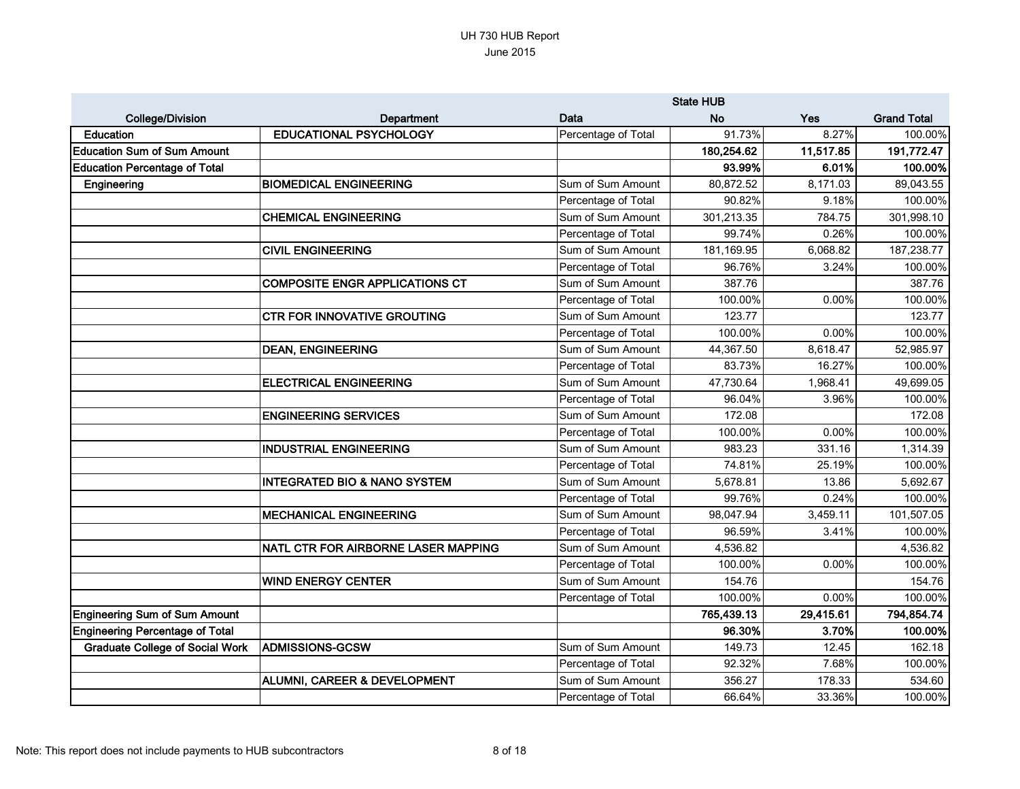|                                        |                                         |                     | <b>State HUB</b> |           |                    |
|----------------------------------------|-----------------------------------------|---------------------|------------------|-----------|--------------------|
| <b>College/Division</b>                | Department                              | Data                | <b>No</b>        | Yes       | <b>Grand Total</b> |
| <b>Education</b>                       | <b>EDUCATIONAL PSYCHOLOGY</b>           | Percentage of Total | 91.73%           | 8.27%     | 100.00%            |
| <b>Education Sum of Sum Amount</b>     |                                         |                     | 180,254.62       | 11,517.85 | 191,772.47         |
| <b>Education Percentage of Total</b>   |                                         |                     | 93.99%           | 6.01%     | 100.00%            |
| Engineering                            | <b>BIOMEDICAL ENGINEERING</b>           | Sum of Sum Amount   | 80,872.52        | 8,171.03  | 89,043.55          |
|                                        |                                         | Percentage of Total | 90.82%           | 9.18%     | 100.00%            |
|                                        | <b>CHEMICAL ENGINEERING</b>             | Sum of Sum Amount   | 301,213.35       | 784.75    | 301,998.10         |
|                                        |                                         | Percentage of Total | 99.74%           | 0.26%     | 100.00%            |
|                                        | <b>CIVIL ENGINEERING</b>                | Sum of Sum Amount   | 181,169.95       | 6,068.82  | 187,238.77         |
|                                        |                                         | Percentage of Total | 96.76%           | 3.24%     | 100.00%            |
|                                        | <b>COMPOSITE ENGR APPLICATIONS CT</b>   | Sum of Sum Amount   | 387.76           |           | 387.76             |
|                                        |                                         | Percentage of Total | 100.00%          | 0.00%     | 100.00%            |
|                                        | <b>CTR FOR INNOVATIVE GROUTING</b>      | Sum of Sum Amount   | 123.77           |           | 123.77             |
|                                        |                                         | Percentage of Total | 100.00%          | 0.00%     | 100.00%            |
|                                        | <b>DEAN, ENGINEERING</b>                | Sum of Sum Amount   | 44,367.50        | 8,618.47  | 52,985.97          |
|                                        |                                         | Percentage of Total | 83.73%           | 16.27%    | 100.00%            |
|                                        | <b>ELECTRICAL ENGINEERING</b>           | Sum of Sum Amount   | 47,730.64        | 1,968.41  | 49,699.05          |
|                                        |                                         | Percentage of Total | 96.04%           | 3.96%     | 100.00%            |
|                                        | <b>ENGINEERING SERVICES</b>             | Sum of Sum Amount   | 172.08           |           | 172.08             |
|                                        |                                         | Percentage of Total | 100.00%          | 0.00%     | 100.00%            |
|                                        | <b>INDUSTRIAL ENGINEERING</b>           | Sum of Sum Amount   | 983.23           | 331.16    | 1,314.39           |
|                                        |                                         | Percentage of Total | 74.81%           | 25.19%    | 100.00%            |
|                                        | <b>INTEGRATED BIO &amp; NANO SYSTEM</b> | Sum of Sum Amount   | 5,678.81         | 13.86     | 5,692.67           |
|                                        |                                         | Percentage of Total | 99.76%           | 0.24%     | 100.00%            |
|                                        | <b>MECHANICAL ENGINEERING</b>           | Sum of Sum Amount   | 98,047.94        | 3,459.11  | 101,507.05         |
|                                        |                                         | Percentage of Total | 96.59%           | 3.41%     | 100.00%            |
|                                        | NATL CTR FOR AIRBORNE LASER MAPPING     | Sum of Sum Amount   | 4,536.82         |           | 4,536.82           |
|                                        |                                         | Percentage of Total | 100.00%          | 0.00%     | 100.00%            |
|                                        | <b>WIND ENERGY CENTER</b>               | Sum of Sum Amount   | 154.76           |           | 154.76             |
|                                        |                                         | Percentage of Total | 100.00%          | 0.00%     | 100.00%            |
| <b>Engineering Sum of Sum Amount</b>   |                                         |                     | 765,439.13       | 29,415.61 | 794,854.74         |
| Engineering Percentage of Total        |                                         |                     | 96.30%           | 3.70%     | 100.00%            |
| <b>Graduate College of Social Work</b> | <b>ADMISSIONS-GCSW</b>                  | Sum of Sum Amount   | 149.73           | 12.45     | 162.18             |
|                                        |                                         | Percentage of Total | 92.32%           | 7.68%     | 100.00%            |
|                                        | ALUMNI, CAREER & DEVELOPMENT            | Sum of Sum Amount   | 356.27           | 178.33    | 534.60             |
|                                        |                                         | Percentage of Total | 66.64%           | 33.36%    | 100.00%            |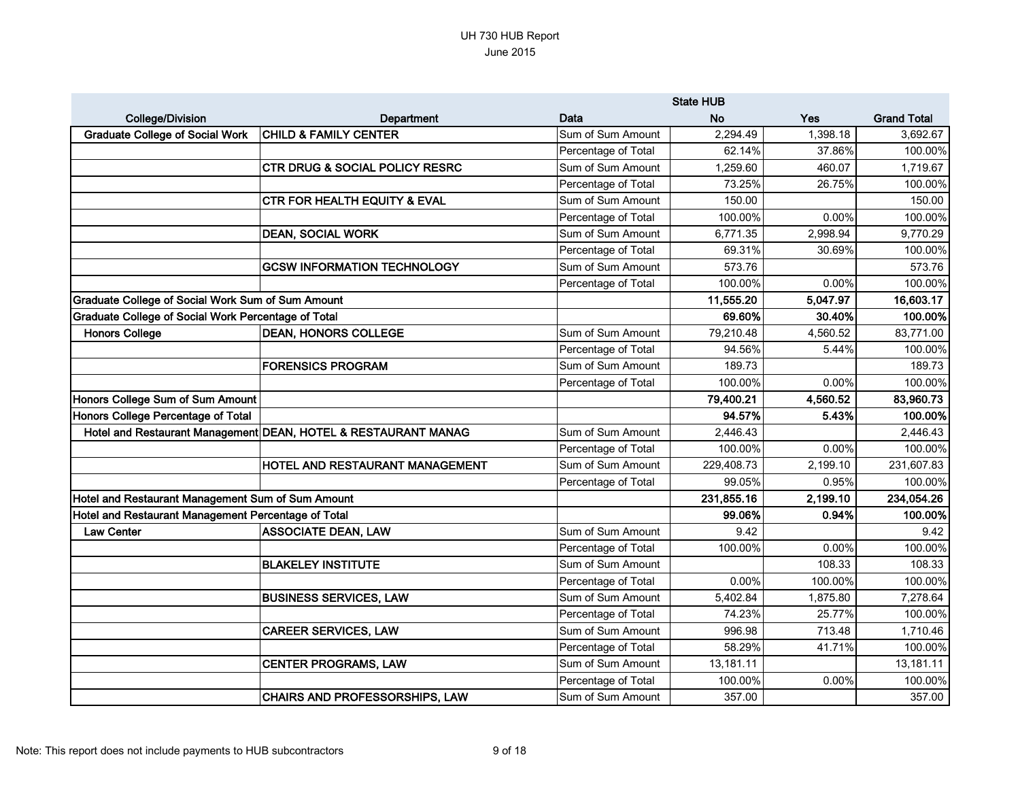|                                                          |                                                                |                     | <b>State HUB</b> |          |                    |
|----------------------------------------------------------|----------------------------------------------------------------|---------------------|------------------|----------|--------------------|
| <b>College/Division</b>                                  | <b>Department</b>                                              | Data                | <b>No</b>        | Yes      | <b>Grand Total</b> |
| <b>Graduate College of Social Work</b>                   | <b>CHILD &amp; FAMILY CENTER</b>                               | Sum of Sum Amount   | 2,294.49         | 1,398.18 | 3,692.67           |
|                                                          |                                                                | Percentage of Total | 62.14%           | 37.86%   | 100.00%            |
|                                                          | <b>CTR DRUG &amp; SOCIAL POLICY RESRC</b>                      | Sum of Sum Amount   | 1,259.60         | 460.07   | 1,719.67           |
|                                                          |                                                                | Percentage of Total | 73.25%           | 26.75%   | 100.00%            |
|                                                          | <b>CTR FOR HEALTH EQUITY &amp; EVAL</b>                        | Sum of Sum Amount   | 150.00           |          | 150.00             |
|                                                          |                                                                | Percentage of Total | 100.00%          | 0.00%    | 100.00%            |
|                                                          | <b>DEAN, SOCIAL WORK</b>                                       | Sum of Sum Amount   | 6,771.35         | 2,998.94 | 9,770.29           |
|                                                          |                                                                | Percentage of Total | 69.31%           | 30.69%   | 100.00%            |
|                                                          | <b>GCSW INFORMATION TECHNOLOGY</b>                             | Sum of Sum Amount   | 573.76           |          | 573.76             |
|                                                          |                                                                | Percentage of Total | 100.00%          | 0.00%    | 100.00%            |
| <b>Graduate College of Social Work Sum of Sum Amount</b> |                                                                |                     | 11,555.20        | 5,047.97 | 16,603.17          |
| Graduate College of Social Work Percentage of Total      |                                                                |                     | 69.60%           | 30.40%   | 100.00%            |
| <b>Honors College</b>                                    | <b>DEAN, HONORS COLLEGE</b>                                    | Sum of Sum Amount   | 79,210.48        | 4,560.52 | 83,771.00          |
|                                                          |                                                                | Percentage of Total | 94.56%           | 5.44%    | 100.00%            |
|                                                          | <b>FORENSICS PROGRAM</b>                                       | Sum of Sum Amount   | 189.73           |          | 189.73             |
|                                                          |                                                                | Percentage of Total | 100.00%          | 0.00%    | 100.00%            |
| Honors College Sum of Sum Amount                         |                                                                |                     | 79,400.21        | 4,560.52 | 83,960.73          |
| Honors College Percentage of Total                       |                                                                |                     | 94.57%           | 5.43%    | 100.00%            |
|                                                          | Hotel and Restaurant Management DEAN, HOTEL & RESTAURANT MANAG | Sum of Sum Amount   | 2,446.43         |          | 2,446.43           |
|                                                          |                                                                | Percentage of Total | 100.00%          | 0.00%    | 100.00%            |
|                                                          | HOTEL AND RESTAURANT MANAGEMENT                                | Sum of Sum Amount   | 229,408.73       | 2,199.10 | 231,607.83         |
|                                                          |                                                                | Percentage of Total | 99.05%           | 0.95%    | 100.00%            |
| Hotel and Restaurant Management Sum of Sum Amount        |                                                                |                     | 231,855.16       | 2,199.10 | 234,054.26         |
| Hotel and Restaurant Management Percentage of Total      |                                                                |                     | 99.06%           | 0.94%    | 100.00%            |
| <b>Law Center</b>                                        | <b>ASSOCIATE DEAN, LAW</b>                                     | Sum of Sum Amount   | 9.42             |          | 9.42               |
|                                                          |                                                                | Percentage of Total | 100.00%          | 0.00%    | 100.00%            |
|                                                          | <b>BLAKELEY INSTITUTE</b>                                      | Sum of Sum Amount   |                  | 108.33   | 108.33             |
|                                                          |                                                                | Percentage of Total | $0.00\%$         | 100.00%  | 100.00%            |
|                                                          | <b>BUSINESS SERVICES, LAW</b>                                  | Sum of Sum Amount   | 5,402.84         | 1,875.80 | 7,278.64           |
|                                                          |                                                                | Percentage of Total | 74.23%           | 25.77%   | 100.00%            |
|                                                          | <b>CAREER SERVICES, LAW</b>                                    | Sum of Sum Amount   | 996.98           | 713.48   | 1,710.46           |
|                                                          |                                                                | Percentage of Total | 58.29%           | 41.71%   | 100.00%            |
|                                                          | <b>CENTER PROGRAMS, LAW</b>                                    | Sum of Sum Amount   | 13,181.11        |          | 13,181.11          |
|                                                          |                                                                | Percentage of Total | 100.00%          | 0.00%    | 100.00%            |
|                                                          | CHAIRS AND PROFESSORSHIPS, LAW                                 | Sum of Sum Amount   | 357.00           |          | 357.00             |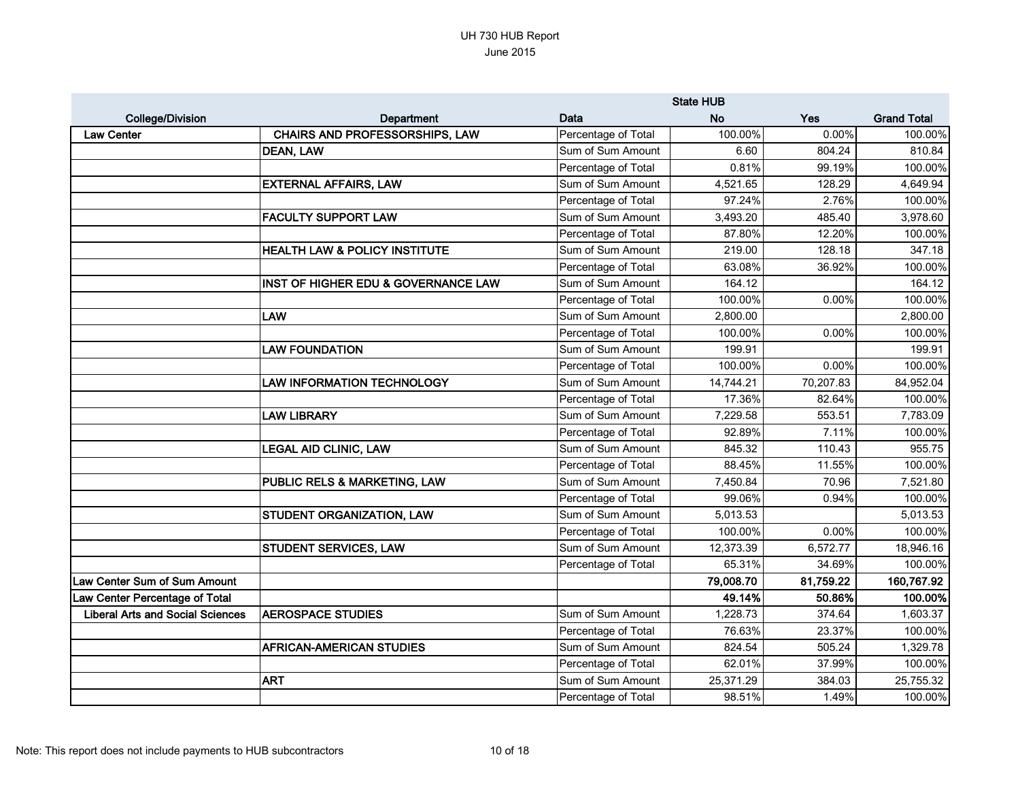|                                         |                                          |                     | <b>State HUB</b> |           |                    |
|-----------------------------------------|------------------------------------------|---------------------|------------------|-----------|--------------------|
| <b>College/Division</b>                 | Department                               | Data                | <b>No</b>        | Yes       | <b>Grand Total</b> |
| <b>Law Center</b>                       | <b>CHAIRS AND PROFESSORSHIPS, LAW</b>    | Percentage of Total | 100.00%          | 0.00%     | 100.00%            |
|                                         | DEAN, LAW                                | Sum of Sum Amount   | 6.60             | 804.24    | 810.84             |
|                                         |                                          | Percentage of Total | 0.81%            | 99.19%    | 100.00%            |
|                                         | <b>EXTERNAL AFFAIRS, LAW</b>             | Sum of Sum Amount   | 4,521.65         | 128.29    | 4,649.94           |
|                                         |                                          | Percentage of Total | 97.24%           | 2.76%     | 100.00%            |
|                                         | <b>FACULTY SUPPORT LAW</b>               | Sum of Sum Amount   | 3,493.20         | 485.40    | 3,978.60           |
|                                         |                                          | Percentage of Total | 87.80%           | 12.20%    | 100.00%            |
|                                         | <b>HEALTH LAW &amp; POLICY INSTITUTE</b> | Sum of Sum Amount   | 219.00           | 128.18    | 347.18             |
|                                         |                                          | Percentage of Total | 63.08%           | 36.92%    | 100.00%            |
|                                         | INST OF HIGHER EDU & GOVERNANCE LAW      | Sum of Sum Amount   | 164.12           |           | 164.12             |
|                                         |                                          | Percentage of Total | 100.00%          | 0.00%     | 100.00%            |
|                                         | <b>LAW</b>                               | Sum of Sum Amount   | 2,800.00         |           | 2,800.00           |
|                                         |                                          | Percentage of Total | 100.00%          | 0.00%     | 100.00%            |
|                                         | <b>LAW FOUNDATION</b>                    | Sum of Sum Amount   | 199.91           |           | 199.91             |
|                                         |                                          | Percentage of Total | 100.00%          | 0.00%     | 100.00%            |
|                                         | <b>LAW INFORMATION TECHNOLOGY</b>        | Sum of Sum Amount   | 14,744.21        | 70,207.83 | 84,952.04          |
|                                         |                                          | Percentage of Total | 17.36%           | 82.64%    | 100.00%            |
|                                         | <b>LAW LIBRARY</b>                       | Sum of Sum Amount   | 7,229.58         | 553.51    | 7,783.09           |
|                                         |                                          | Percentage of Total | 92.89%           | 7.11%     | 100.00%            |
|                                         | <b>LEGAL AID CLINIC, LAW</b>             | Sum of Sum Amount   | 845.32           | 110.43    | 955.75             |
|                                         |                                          | Percentage of Total | 88.45%           | 11.55%    | 100.00%            |
|                                         | PUBLIC RELS & MARKETING, LAW             | Sum of Sum Amount   | 7,450.84         | 70.96     | 7,521.80           |
|                                         |                                          | Percentage of Total | 99.06%           | 0.94%     | 100.00%            |
|                                         | STUDENT ORGANIZATION, LAW                | Sum of Sum Amount   | 5,013.53         |           | 5,013.53           |
|                                         |                                          | Percentage of Total | 100.00%          | 0.00%     | 100.00%            |
|                                         | STUDENT SERVICES, LAW                    | Sum of Sum Amount   | 12,373.39        | 6,572.77  | 18,946.16          |
|                                         |                                          | Percentage of Total | 65.31%           | 34.69%    | 100.00%            |
| Law Center Sum of Sum Amount            |                                          |                     | 79,008.70        | 81,759.22 | 160,767.92         |
| Law Center Percentage of Total          |                                          |                     | 49.14%           | 50.86%    | 100.00%            |
| <b>Liberal Arts and Social Sciences</b> | <b>AEROSPACE STUDIES</b>                 | Sum of Sum Amount   | 1,228.73         | 374.64    | 1,603.37           |
|                                         |                                          | Percentage of Total | 76.63%           | 23.37%    | 100.00%            |
|                                         | <b>AFRICAN-AMERICAN STUDIES</b>          | Sum of Sum Amount   | 824.54           | 505.24    | 1,329.78           |
|                                         |                                          | Percentage of Total | 62.01%           | 37.99%    | 100.00%            |
|                                         | <b>ART</b>                               | Sum of Sum Amount   | 25,371.29        | 384.03    | 25,755.32          |
|                                         |                                          | Percentage of Total | 98.51%           | 1.49%     | 100.00%            |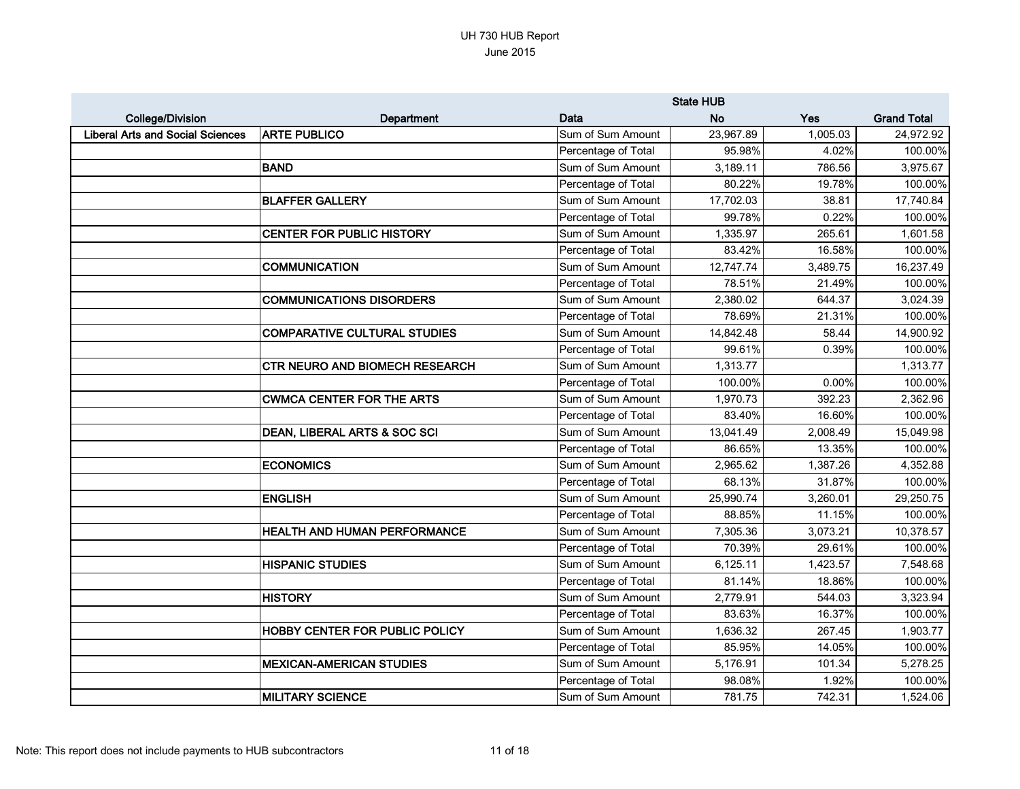|                                         |                                       |                     | <b>State HUB</b> |          |                    |
|-----------------------------------------|---------------------------------------|---------------------|------------------|----------|--------------------|
| <b>College/Division</b>                 | Department                            | Data                | <b>No</b>        | Yes      | <b>Grand Total</b> |
| <b>Liberal Arts and Social Sciences</b> | <b>ARTE PUBLICO</b>                   | Sum of Sum Amount   | 23,967.89        | 1,005.03 | 24,972.92          |
|                                         |                                       | Percentage of Total | 95.98%           | 4.02%    | 100.00%            |
|                                         | <b>BAND</b>                           | Sum of Sum Amount   | 3,189.11         | 786.56   | 3,975.67           |
|                                         |                                       | Percentage of Total | 80.22%           | 19.78%   | 100.00%            |
|                                         | <b>BLAFFER GALLERY</b>                | Sum of Sum Amount   | 17,702.03        | 38.81    | 17,740.84          |
|                                         |                                       | Percentage of Total | 99.78%           | 0.22%    | 100.00%            |
|                                         | <b>CENTER FOR PUBLIC HISTORY</b>      | Sum of Sum Amount   | 1,335.97         | 265.61   | 1,601.58           |
|                                         |                                       | Percentage of Total | 83.42%           | 16.58%   | 100.00%            |
|                                         | <b>COMMUNICATION</b>                  | Sum of Sum Amount   | 12,747.74        | 3,489.75 | 16,237.49          |
|                                         |                                       | Percentage of Total | 78.51%           | 21.49%   | 100.00%            |
|                                         | <b>COMMUNICATIONS DISORDERS</b>       | Sum of Sum Amount   | 2,380.02         | 644.37   | 3,024.39           |
|                                         |                                       | Percentage of Total | 78.69%           | 21.31%   | 100.00%            |
|                                         | <b>COMPARATIVE CULTURAL STUDIES</b>   | Sum of Sum Amount   | 14,842.48        | 58.44    | 14,900.92          |
|                                         |                                       | Percentage of Total | 99.61%           | 0.39%    | 100.00%            |
|                                         | <b>CTR NEURO AND BIOMECH RESEARCH</b> | Sum of Sum Amount   | 1,313.77         |          | 1,313.77           |
|                                         |                                       | Percentage of Total | 100.00%          | 0.00%    | 100.00%            |
|                                         | <b>CWMCA CENTER FOR THE ARTS</b>      | Sum of Sum Amount   | 1,970.73         | 392.23   | 2,362.96           |
|                                         |                                       | Percentage of Total | 83.40%           | 16.60%   | 100.00%            |
|                                         | DEAN, LIBERAL ARTS & SOC SCI          | Sum of Sum Amount   | 13,041.49        | 2,008.49 | 15,049.98          |
|                                         |                                       | Percentage of Total | 86.65%           | 13.35%   | 100.00%            |
|                                         | <b>ECONOMICS</b>                      | Sum of Sum Amount   | 2,965.62         | 1,387.26 | 4,352.88           |
|                                         |                                       | Percentage of Total | 68.13%           | 31.87%   | 100.00%            |
|                                         | <b>ENGLISH</b>                        | Sum of Sum Amount   | 25,990.74        | 3,260.01 | 29,250.75          |
|                                         |                                       | Percentage of Total | 88.85%           | 11.15%   | 100.00%            |
|                                         | HEALTH AND HUMAN PERFORMANCE          | Sum of Sum Amount   | 7,305.36         | 3,073.21 | 10,378.57          |
|                                         |                                       | Percentage of Total | 70.39%           | 29.61%   | 100.00%            |
|                                         | <b>HISPANIC STUDIES</b>               | Sum of Sum Amount   | 6,125.11         | 1,423.57 | 7,548.68           |
|                                         |                                       | Percentage of Total | 81.14%           | 18.86%   | 100.00%            |
|                                         | <b>HISTORY</b>                        | Sum of Sum Amount   | 2,779.91         | 544.03   | 3,323.94           |
|                                         |                                       | Percentage of Total | 83.63%           | 16.37%   | 100.00%            |
|                                         | HOBBY CENTER FOR PUBLIC POLICY        | Sum of Sum Amount   | 1,636.32         | 267.45   | 1,903.77           |
|                                         |                                       | Percentage of Total | 85.95%           | 14.05%   | 100.00%            |
|                                         | <b>MEXICAN-AMERICAN STUDIES</b>       | Sum of Sum Amount   | 5,176.91         | 101.34   | 5,278.25           |
|                                         |                                       | Percentage of Total | 98.08%           | 1.92%    | 100.00%            |
|                                         | <b>MILITARY SCIENCE</b>               | Sum of Sum Amount   | 781.75           | 742.31   | 1,524.06           |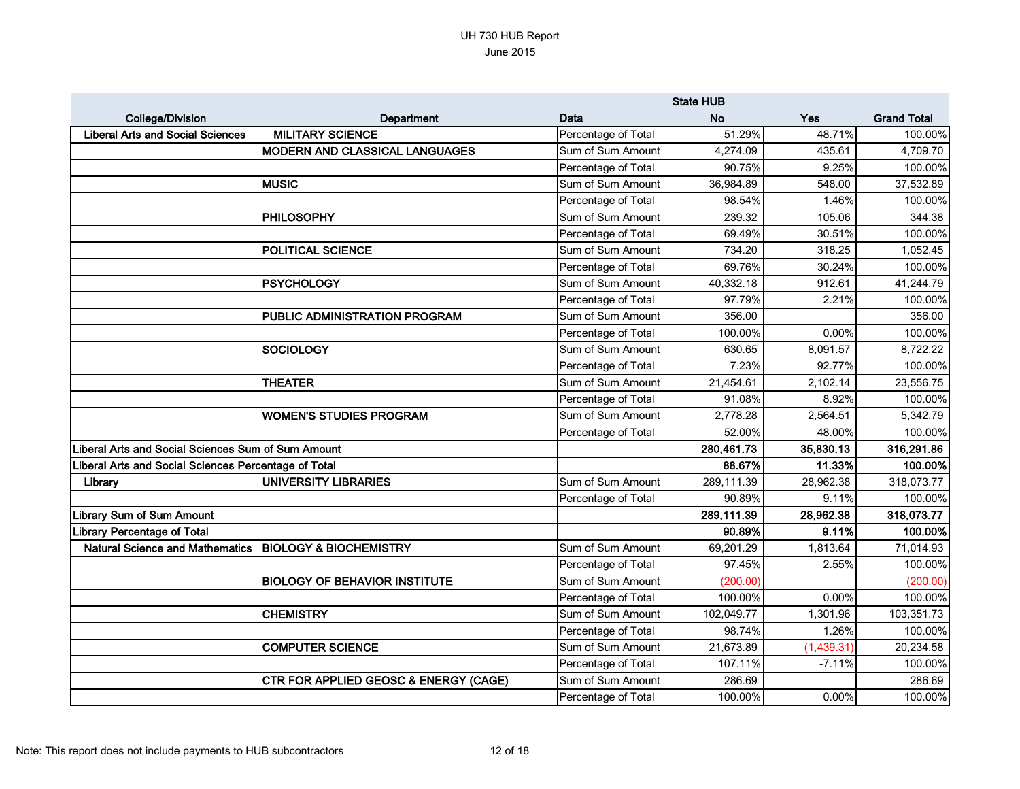|                                                      |                                                  |                     | <b>State HUB</b> |            |                    |
|------------------------------------------------------|--------------------------------------------------|---------------------|------------------|------------|--------------------|
| <b>College/Division</b>                              | <b>Department</b>                                | Data                | <b>No</b>        | Yes        | <b>Grand Total</b> |
| <b>Liberal Arts and Social Sciences</b>              | <b>MILITARY SCIENCE</b>                          | Percentage of Total | 51.29%           | 48.71%     | 100.00%            |
|                                                      | MODERN AND CLASSICAL LANGUAGES                   | Sum of Sum Amount   | 4,274.09         | 435.61     | 4,709.70           |
|                                                      |                                                  | Percentage of Total | 90.75%           | 9.25%      | 100.00%            |
|                                                      | <b>MUSIC</b>                                     | Sum of Sum Amount   | 36,984.89        | 548.00     | 37,532.89          |
|                                                      |                                                  | Percentage of Total | 98.54%           | 1.46%      | 100.00%            |
|                                                      | <b>PHILOSOPHY</b>                                | Sum of Sum Amount   | 239.32           | 105.06     | 344.38             |
|                                                      |                                                  | Percentage of Total | 69.49%           | 30.51%     | 100.00%            |
|                                                      | <b>POLITICAL SCIENCE</b>                         | Sum of Sum Amount   | 734.20           | 318.25     | 1,052.45           |
|                                                      |                                                  | Percentage of Total | 69.76%           | 30.24%     | 100.00%            |
|                                                      | <b>PSYCHOLOGY</b>                                | Sum of Sum Amount   | 40,332.18        | 912.61     | 41,244.79          |
|                                                      |                                                  | Percentage of Total | 97.79%           | 2.21%      | 100.00%            |
|                                                      | PUBLIC ADMINISTRATION PROGRAM                    | Sum of Sum Amount   | 356.00           |            | 356.00             |
|                                                      |                                                  | Percentage of Total | 100.00%          | 0.00%      | 100.00%            |
|                                                      | <b>SOCIOLOGY</b>                                 | Sum of Sum Amount   | 630.65           | 8,091.57   | 8,722.22           |
|                                                      |                                                  | Percentage of Total | 7.23%            | 92.77%     | 100.00%            |
|                                                      | <b>THEATER</b>                                   | Sum of Sum Amount   | 21,454.61        | 2,102.14   | 23,556.75          |
|                                                      |                                                  | Percentage of Total | 91.08%           | 8.92%      | 100.00%            |
|                                                      | <b>WOMEN'S STUDIES PROGRAM</b>                   | Sum of Sum Amount   | 2,778.28         | 2,564.51   | 5,342.79           |
|                                                      |                                                  | Percentage of Total | 52.00%           | 48.00%     | 100.00%            |
| Liberal Arts and Social Sciences Sum of Sum Amount   |                                                  |                     | 280,461.73       | 35,830.13  | 316,291.86         |
| Liberal Arts and Social Sciences Percentage of Total |                                                  |                     | 88.67%           | 11.33%     | 100.00%            |
| Library                                              | <b>UNIVERSITY LIBRARIES</b>                      | Sum of Sum Amount   | 289,111.39       | 28,962.38  | 318,073.77         |
|                                                      |                                                  | Percentage of Total | 90.89%           | 9.11%      | 100.00%            |
| Library Sum of Sum Amount                            |                                                  |                     | 289,111.39       | 28,962.38  | 318,073.77         |
| Library Percentage of Total                          |                                                  |                     | 90.89%           | 9.11%      | 100.00%            |
| <b>Natural Science and Mathematics</b>               | <b>BIOLOGY &amp; BIOCHEMISTRY</b>                | Sum of Sum Amount   | 69,201.29        | 1,813.64   | 71,014.93          |
|                                                      |                                                  | Percentage of Total | 97.45%           | 2.55%      | 100.00%            |
|                                                      | <b>BIOLOGY OF BEHAVIOR INSTITUTE</b>             | Sum of Sum Amount   | (200.00)         |            | (200.00)           |
|                                                      |                                                  | Percentage of Total | 100.00%          | 0.00%      | 100.00%            |
|                                                      | <b>CHEMISTRY</b>                                 | Sum of Sum Amount   | 102,049.77       | 1,301.96   | 103,351.73         |
|                                                      |                                                  | Percentage of Total | 98.74%           | 1.26%      | 100.00%            |
|                                                      | <b>COMPUTER SCIENCE</b>                          | Sum of Sum Amount   | 21,673.89        | (1,439.31) | 20,234.58          |
|                                                      |                                                  | Percentage of Total | 107.11%          | $-7.11%$   | 100.00%            |
|                                                      | <b>CTR FOR APPLIED GEOSC &amp; ENERGY (CAGE)</b> | Sum of Sum Amount   | 286.69           |            | 286.69             |
|                                                      |                                                  | Percentage of Total | 100.00%          | $0.00\%$   | 100.00%            |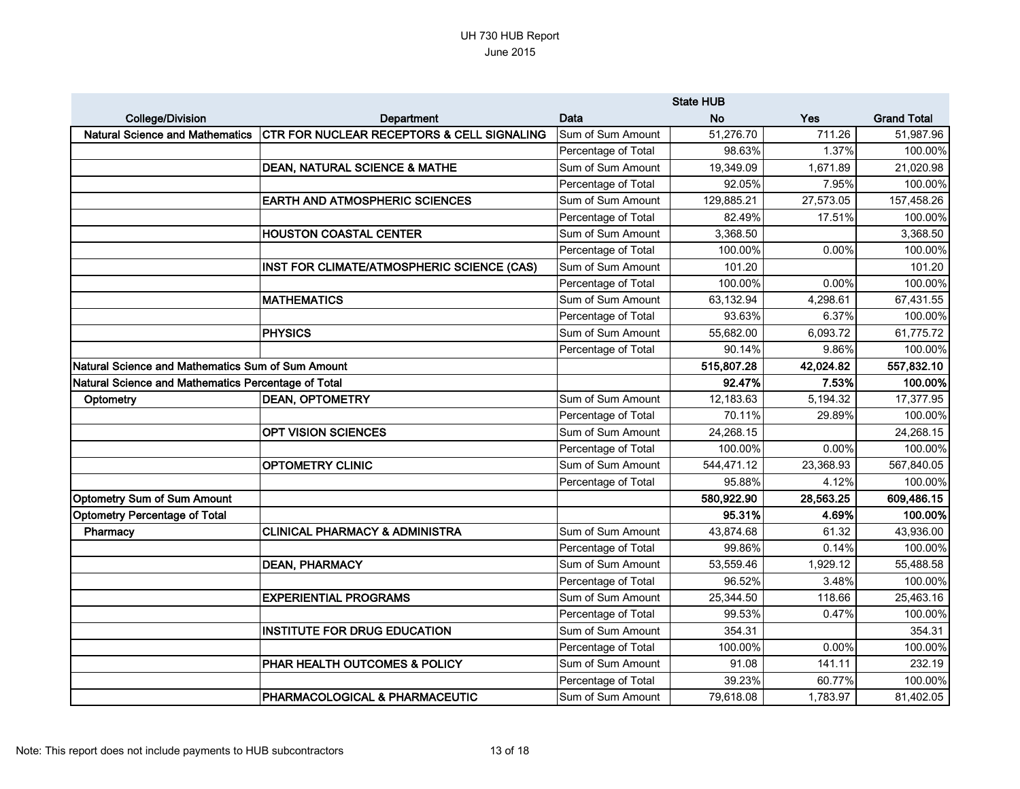|                                                     |                                                       | <b>State HUB</b>    |            |           |                    |
|-----------------------------------------------------|-------------------------------------------------------|---------------------|------------|-----------|--------------------|
| <b>College/Division</b>                             | <b>Department</b>                                     | Data                | <b>No</b>  | Yes       | <b>Grand Total</b> |
| <b>Natural Science and Mathematics</b>              | <b>CTR FOR NUCLEAR RECEPTORS &amp; CELL SIGNALING</b> | Sum of Sum Amount   | 51,276.70  | 711.26    | 51,987.96          |
|                                                     |                                                       | Percentage of Total | 98.63%     | 1.37%     | 100.00%            |
|                                                     | <b>DEAN, NATURAL SCIENCE &amp; MATHE</b>              | Sum of Sum Amount   | 19,349.09  | 1,671.89  | 21,020.98          |
|                                                     |                                                       | Percentage of Total | 92.05%     | 7.95%     | 100.00%            |
|                                                     | <b>EARTH AND ATMOSPHERIC SCIENCES</b>                 | Sum of Sum Amount   | 129,885.21 | 27,573.05 | 157,458.26         |
|                                                     |                                                       | Percentage of Total | 82.49%     | 17.51%    | 100.00%            |
|                                                     | <b>HOUSTON COASTAL CENTER</b>                         | Sum of Sum Amount   | 3,368.50   |           | 3,368.50           |
|                                                     |                                                       | Percentage of Total | 100.00%    | 0.00%     | 100.00%            |
|                                                     | INST FOR CLIMATE/ATMOSPHERIC SCIENCE (CAS)            | Sum of Sum Amount   | 101.20     |           | 101.20             |
|                                                     |                                                       | Percentage of Total | 100.00%    | 0.00%     | 100.00%            |
|                                                     | <b>MATHEMATICS</b>                                    | Sum of Sum Amount   | 63,132.94  | 4,298.61  | 67,431.55          |
|                                                     |                                                       | Percentage of Total | 93.63%     | 6.37%     | 100.00%            |
|                                                     | <b>PHYSICS</b>                                        | Sum of Sum Amount   | 55,682.00  | 6,093.72  | 61,775.72          |
|                                                     |                                                       | Percentage of Total | 90.14%     | 9.86%     | 100.00%            |
| Natural Science and Mathematics Sum of Sum Amount   |                                                       |                     | 515,807.28 | 42,024.82 | 557,832.10         |
| Natural Science and Mathematics Percentage of Total |                                                       |                     | 92.47%     | 7.53%     | 100.00%            |
| Optometry                                           | <b>DEAN, OPTOMETRY</b>                                | Sum of Sum Amount   | 12,183.63  | 5,194.32  | 17,377.95          |
|                                                     |                                                       | Percentage of Total | 70.11%     | 29.89%    | 100.00%            |
|                                                     | <b>OPT VISION SCIENCES</b>                            | Sum of Sum Amount   | 24,268.15  |           | 24,268.15          |
|                                                     |                                                       | Percentage of Total | 100.00%    | 0.00%     | 100.00%            |
|                                                     | <b>OPTOMETRY CLINIC</b>                               | Sum of Sum Amount   | 544,471.12 | 23,368.93 | 567,840.05         |
|                                                     |                                                       | Percentage of Total | 95.88%     | 4.12%     | 100.00%            |
| <b>Optometry Sum of Sum Amount</b>                  |                                                       |                     | 580,922.90 | 28,563.25 | 609,486.15         |
| <b>Optometry Percentage of Total</b>                |                                                       |                     | 95.31%     | 4.69%     | 100.00%            |
| Pharmacy                                            | <b>CLINICAL PHARMACY &amp; ADMINISTRA</b>             | Sum of Sum Amount   | 43,874.68  | 61.32     | 43,936.00          |
|                                                     |                                                       | Percentage of Total | 99.86%     | 0.14%     | 100.00%            |
|                                                     | <b>DEAN, PHARMACY</b>                                 | Sum of Sum Amount   | 53,559.46  | 1,929.12  | 55,488.58          |
|                                                     |                                                       | Percentage of Total | 96.52%     | 3.48%     | 100.00%            |
|                                                     | <b>EXPERIENTIAL PROGRAMS</b>                          | Sum of Sum Amount   | 25,344.50  | 118.66    | 25,463.16          |
|                                                     |                                                       | Percentage of Total | 99.53%     | 0.47%     | 100.00%            |
|                                                     | <b>INSTITUTE FOR DRUG EDUCATION</b>                   | Sum of Sum Amount   | 354.31     |           | 354.31             |
|                                                     |                                                       | Percentage of Total | 100.00%    | 0.00%     | 100.00%            |
|                                                     | PHAR HEALTH OUTCOMES & POLICY                         | Sum of Sum Amount   | 91.08      | 141.11    | 232.19             |
|                                                     |                                                       | Percentage of Total | 39.23%     | 60.77%    | 100.00%            |
|                                                     | PHARMACOLOGICAL & PHARMACEUTIC                        | Sum of Sum Amount   | 79,618.08  | 1,783.97  | 81,402.05          |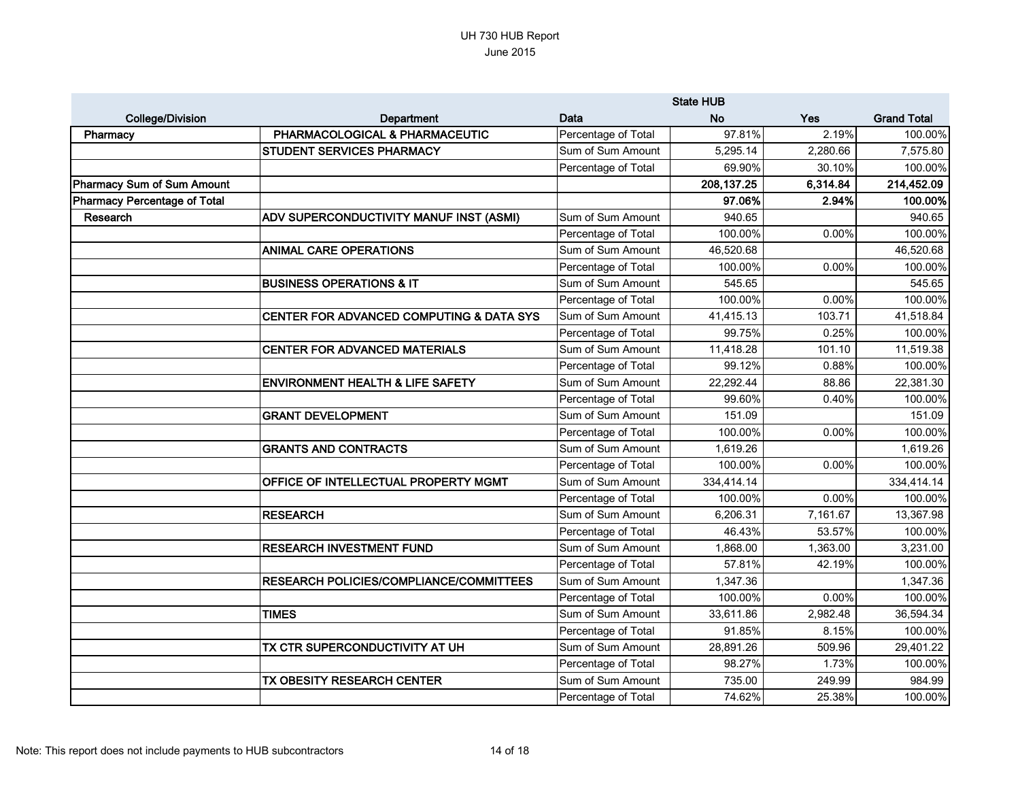|                                     |                                                | <b>State HUB</b>    |             |          |                    |
|-------------------------------------|------------------------------------------------|---------------------|-------------|----------|--------------------|
| <b>College/Division</b>             | <b>Department</b>                              | Data                | <b>No</b>   | Yes      | <b>Grand Total</b> |
| Pharmacy                            | PHARMACOLOGICAL & PHARMACEUTIC                 | Percentage of Total | 97.81%      | 2.19%    | 100.00%            |
|                                     | <b>STUDENT SERVICES PHARMACY</b>               | Sum of Sum Amount   | 5,295.14    | 2,280.66 | 7,575.80           |
|                                     |                                                | Percentage of Total | 69.90%      | 30.10%   | 100.00%            |
| <b>Pharmacy Sum of Sum Amount</b>   |                                                |                     | 208, 137.25 | 6,314.84 | 214,452.09         |
| <b>Pharmacy Percentage of Total</b> |                                                |                     | 97.06%      | 2.94%    | 100.00%            |
| Research                            | ADV SUPERCONDUCTIVITY MANUF INST (ASMI)        | Sum of Sum Amount   | 940.65      |          | 940.65             |
|                                     |                                                | Percentage of Total | 100.00%     | 0.00%    | 100.00%            |
|                                     | <b>ANIMAL CARE OPERATIONS</b>                  | Sum of Sum Amount   | 46,520.68   |          | 46,520.68          |
|                                     |                                                | Percentage of Total | 100.00%     | 0.00%    | 100.00%            |
|                                     | <b>BUSINESS OPERATIONS &amp; IT</b>            | Sum of Sum Amount   | 545.65      |          | 545.65             |
|                                     |                                                | Percentage of Total | 100.00%     | 0.00%    | 100.00%            |
|                                     | CENTER FOR ADVANCED COMPUTING & DATA SYS       | Sum of Sum Amount   | 41,415.13   | 103.71   | 41,518.84          |
|                                     |                                                | Percentage of Total | 99.75%      | 0.25%    | 100.00%            |
|                                     | <b>CENTER FOR ADVANCED MATERIALS</b>           | Sum of Sum Amount   | 11,418.28   | 101.10   | 11,519.38          |
|                                     |                                                | Percentage of Total | 99.12%      | 0.88%    | 100.00%            |
|                                     | <b>ENVIRONMENT HEALTH &amp; LIFE SAFETY</b>    | Sum of Sum Amount   | 22,292.44   | 88.86    | 22,381.30          |
|                                     |                                                | Percentage of Total | 99.60%      | 0.40%    | 100.00%            |
|                                     | <b>GRANT DEVELOPMENT</b>                       | Sum of Sum Amount   | 151.09      |          | 151.09             |
|                                     |                                                | Percentage of Total | 100.00%     | 0.00%    | 100.00%            |
|                                     | <b>GRANTS AND CONTRACTS</b>                    | Sum of Sum Amount   | 1,619.26    |          | 1,619.26           |
|                                     |                                                | Percentage of Total | 100.00%     | 0.00%    | 100.00%            |
|                                     | OFFICE OF INTELLECTUAL PROPERTY MGMT           | Sum of Sum Amount   | 334,414.14  |          | 334,414.14         |
|                                     |                                                | Percentage of Total | 100.00%     | 0.00%    | 100.00%            |
|                                     | <b>RESEARCH</b>                                | Sum of Sum Amount   | 6,206.31    | 7,161.67 | 13,367.98          |
|                                     |                                                | Percentage of Total | 46.43%      | 53.57%   | 100.00%            |
|                                     | <b>RESEARCH INVESTMENT FUND</b>                | Sum of Sum Amount   | 1,868.00    | 1,363.00 | 3,231.00           |
|                                     |                                                | Percentage of Total | 57.81%      | 42.19%   | 100.00%            |
|                                     | <b>RESEARCH POLICIES/COMPLIANCE/COMMITTEES</b> | Sum of Sum Amount   | 1,347.36    |          | 1,347.36           |
|                                     |                                                | Percentage of Total | 100.00%     | 0.00%    | 100.00%            |
|                                     | <b>TIMES</b>                                   | Sum of Sum Amount   | 33,611.86   | 2,982.48 | 36,594.34          |
|                                     |                                                | Percentage of Total | 91.85%      | 8.15%    | 100.00%            |
|                                     | TX CTR SUPERCONDUCTIVITY AT UH                 | Sum of Sum Amount   | 28,891.26   | 509.96   | 29,401.22          |
|                                     |                                                | Percentage of Total | 98.27%      | 1.73%    | 100.00%            |
|                                     | TX OBESITY RESEARCH CENTER                     | Sum of Sum Amount   | 735.00      | 249.99   | 984.99             |
|                                     |                                                | Percentage of Total | 74.62%      | 25.38%   | 100.00%            |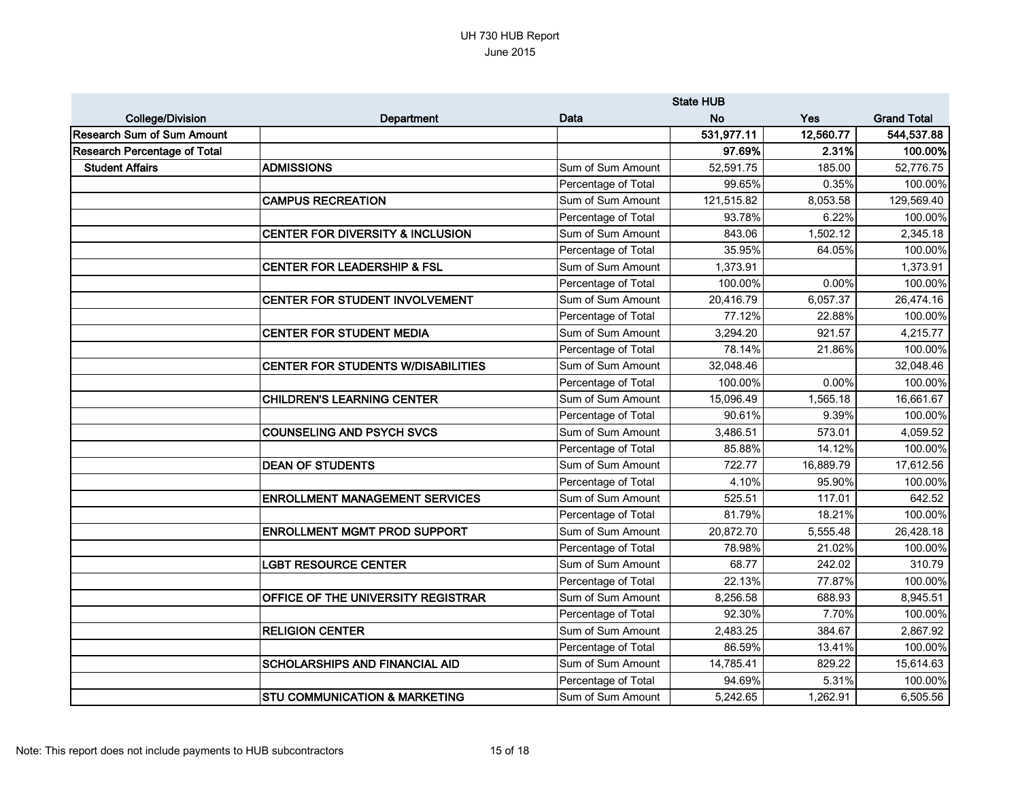|                                     | <b>State HUB</b>                            |                     |            |           |                    |
|-------------------------------------|---------------------------------------------|---------------------|------------|-----------|--------------------|
| <b>College/Division</b>             | <b>Department</b>                           | Data                | <b>No</b>  | Yes       | <b>Grand Total</b> |
| Research Sum of Sum Amount          |                                             |                     | 531,977.11 | 12,560.77 | 544,537.88         |
| <b>Research Percentage of Total</b> |                                             |                     | 97.69%     | 2.31%     | 100.00%            |
| <b>Student Affairs</b>              | <b>ADMISSIONS</b>                           | Sum of Sum Amount   | 52,591.75  | 185.00    | 52,776.75          |
|                                     |                                             | Percentage of Total | 99.65%     | 0.35%     | 100.00%            |
|                                     | <b>CAMPUS RECREATION</b>                    | Sum of Sum Amount   | 121,515.82 | 8,053.58  | 129,569.40         |
|                                     |                                             | Percentage of Total | 93.78%     | 6.22%     | 100.00%            |
|                                     | <b>CENTER FOR DIVERSITY &amp; INCLUSION</b> | Sum of Sum Amount   | 843.06     | 1,502.12  | 2,345.18           |
|                                     |                                             | Percentage of Total | 35.95%     | 64.05%    | 100.00%            |
|                                     | <b>CENTER FOR LEADERSHIP &amp; FSL</b>      | Sum of Sum Amount   | 1,373.91   |           | 1,373.91           |
|                                     |                                             | Percentage of Total | 100.00%    | 0.00%     | 100.00%            |
|                                     | CENTER FOR STUDENT INVOLVEMENT              | Sum of Sum Amount   | 20,416.79  | 6,057.37  | 26,474.16          |
|                                     |                                             | Percentage of Total | 77.12%     | 22.88%    | 100.00%            |
|                                     | <b>CENTER FOR STUDENT MEDIA</b>             | Sum of Sum Amount   | 3,294.20   | 921.57    | 4,215.77           |
|                                     |                                             | Percentage of Total | 78.14%     | 21.86%    | 100.00%            |
|                                     | <b>CENTER FOR STUDENTS W/DISABILITIES</b>   | Sum of Sum Amount   | 32,048.46  |           | 32,048.46          |
|                                     |                                             | Percentage of Total | 100.00%    | 0.00%     | 100.00%            |
|                                     | <b>CHILDREN'S LEARNING CENTER</b>           | Sum of Sum Amount   | 15,096.49  | 1,565.18  | 16,661.67          |
|                                     |                                             | Percentage of Total | 90.61%     | 9.39%     | 100.00%            |
|                                     | <b>COUNSELING AND PSYCH SVCS</b>            | Sum of Sum Amount   | 3,486.51   | 573.01    | 4,059.52           |
|                                     |                                             | Percentage of Total | 85.88%     | 14.12%    | 100.00%            |
|                                     | <b>DEAN OF STUDENTS</b>                     | Sum of Sum Amount   | 722.77     | 16,889.79 | 17,612.56          |
|                                     |                                             | Percentage of Total | 4.10%      | 95.90%    | 100.00%            |
|                                     | <b>ENROLLMENT MANAGEMENT SERVICES</b>       | Sum of Sum Amount   | 525.51     | 117.01    | 642.52             |
|                                     |                                             | Percentage of Total | 81.79%     | 18.21%    | 100.00%            |
|                                     | <b>ENROLLMENT MGMT PROD SUPPORT</b>         | Sum of Sum Amount   | 20,872.70  | 5,555.48  | 26,428.18          |
|                                     |                                             | Percentage of Total | 78.98%     | 21.02%    | 100.00%            |
|                                     | <b>LGBT RESOURCE CENTER</b>                 | Sum of Sum Amount   | 68.77      | 242.02    | 310.79             |
|                                     |                                             | Percentage of Total | 22.13%     | 77.87%    | 100.00%            |
|                                     | OFFICE OF THE UNIVERSITY REGISTRAR          | Sum of Sum Amount   | 8,256.58   | 688.93    | 8,945.51           |
|                                     |                                             | Percentage of Total | 92.30%     | 7.70%     | 100.00%            |
|                                     | <b>RELIGION CENTER</b>                      | Sum of Sum Amount   | 2,483.25   | 384.67    | 2,867.92           |
|                                     |                                             | Percentage of Total | 86.59%     | 13.41%    | 100.00%            |
|                                     | <b>SCHOLARSHIPS AND FINANCIAL AID</b>       | Sum of Sum Amount   | 14,785.41  | 829.22    | 15,614.63          |
|                                     |                                             | Percentage of Total | 94.69%     | 5.31%     | 100.00%            |
|                                     | <b>STU COMMUNICATION &amp; MARKETING</b>    | Sum of Sum Amount   | 5,242.65   | 1,262.91  | 6,505.56           |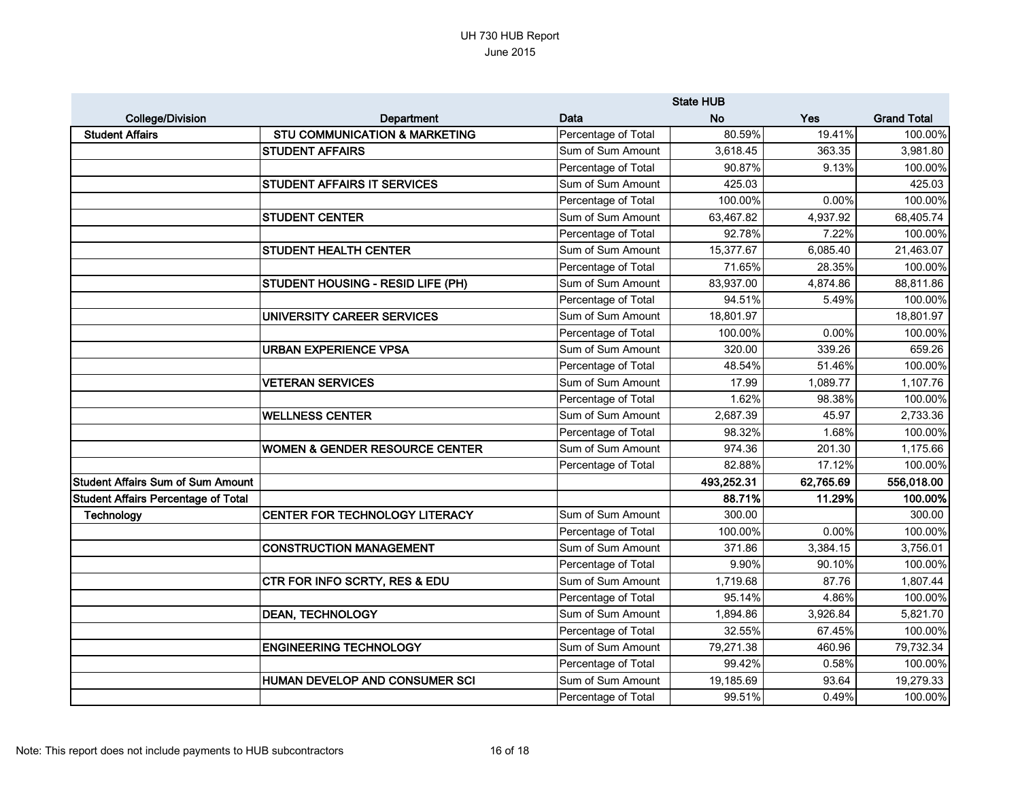|                                            |                                           | <b>State HUB</b>    |            |           |                    |
|--------------------------------------------|-------------------------------------------|---------------------|------------|-----------|--------------------|
| <b>College/Division</b>                    | <b>Department</b>                         | Data                | <b>No</b>  | Yes       | <b>Grand Total</b> |
| <b>Student Affairs</b>                     | <b>STU COMMUNICATION &amp; MARKETING</b>  | Percentage of Total | 80.59%     | 19.41%    | 100.00%            |
|                                            | <b>STUDENT AFFAIRS</b>                    | Sum of Sum Amount   | 3,618.45   | 363.35    | 3,981.80           |
|                                            |                                           | Percentage of Total | 90.87%     | 9.13%     | 100.00%            |
|                                            | <b>STUDENT AFFAIRS IT SERVICES</b>        | Sum of Sum Amount   | 425.03     |           | 425.03             |
|                                            |                                           | Percentage of Total | 100.00%    | 0.00%     | 100.00%            |
|                                            | <b>STUDENT CENTER</b>                     | Sum of Sum Amount   | 63,467.82  | 4,937.92  | 68,405.74          |
|                                            |                                           | Percentage of Total | 92.78%     | 7.22%     | 100.00%            |
|                                            | <b>STUDENT HEALTH CENTER</b>              | Sum of Sum Amount   | 15,377.67  | 6,085.40  | 21,463.07          |
|                                            |                                           | Percentage of Total | 71.65%     | 28.35%    | 100.00%            |
|                                            | <b>STUDENT HOUSING - RESID LIFE (PH)</b>  | Sum of Sum Amount   | 83,937.00  | 4,874.86  | 88,811.86          |
|                                            |                                           | Percentage of Total | 94.51%     | 5.49%     | 100.00%            |
|                                            | UNIVERSITY CAREER SERVICES                | Sum of Sum Amount   | 18,801.97  |           | 18,801.97          |
|                                            |                                           | Percentage of Total | 100.00%    | 0.00%     | 100.00%            |
|                                            | <b>URBAN EXPERIENCE VPSA</b>              | Sum of Sum Amount   | 320.00     | 339.26    | 659.26             |
|                                            |                                           | Percentage of Total | 48.54%     | 51.46%    | 100.00%            |
|                                            | <b>VETERAN SERVICES</b>                   | Sum of Sum Amount   | 17.99      | 1,089.77  | 1,107.76           |
|                                            |                                           | Percentage of Total | 1.62%      | 98.38%    | 100.00%            |
|                                            | <b>WELLNESS CENTER</b>                    | Sum of Sum Amount   | 2,687.39   | 45.97     | 2,733.36           |
|                                            |                                           | Percentage of Total | 98.32%     | 1.68%     | 100.00%            |
|                                            | <b>WOMEN &amp; GENDER RESOURCE CENTER</b> | Sum of Sum Amount   | 974.36     | 201.30    | 1,175.66           |
|                                            |                                           | Percentage of Total | 82.88%     | 17.12%    | 100.00%            |
| <b>Student Affairs Sum of Sum Amount</b>   |                                           |                     | 493,252.31 | 62,765.69 | 556,018.00         |
| <b>Student Affairs Percentage of Total</b> |                                           |                     | 88.71%     | 11.29%    | 100.00%            |
| <b>Technology</b>                          | CENTER FOR TECHNOLOGY LITERACY            | Sum of Sum Amount   | 300.00     |           | 300.00             |
|                                            |                                           | Percentage of Total | 100.00%    | 0.00%     | 100.00%            |
|                                            | <b>CONSTRUCTION MANAGEMENT</b>            | Sum of Sum Amount   | 371.86     | 3,384.15  | 3,756.01           |
|                                            |                                           | Percentage of Total | 9.90%      | 90.10%    | 100.00%            |
|                                            | <b>CTR FOR INFO SCRTY, RES &amp; EDU</b>  | Sum of Sum Amount   | 1,719.68   | 87.76     | 1,807.44           |
|                                            |                                           | Percentage of Total | 95.14%     | 4.86%     | 100.00%            |
|                                            | <b>DEAN, TECHNOLOGY</b>                   | Sum of Sum Amount   | 1,894.86   | 3,926.84  | 5,821.70           |
|                                            |                                           | Percentage of Total | 32.55%     | 67.45%    | 100.00%            |
|                                            | <b>ENGINEERING TECHNOLOGY</b>             | Sum of Sum Amount   | 79,271.38  | 460.96    | 79,732.34          |
|                                            |                                           | Percentage of Total | 99.42%     | 0.58%     | 100.00%            |
|                                            | HUMAN DEVELOP AND CONSUMER SCI            | Sum of Sum Amount   | 19,185.69  | 93.64     | 19,279.33          |
|                                            |                                           | Percentage of Total | 99.51%     | 0.49%     | 100.00%            |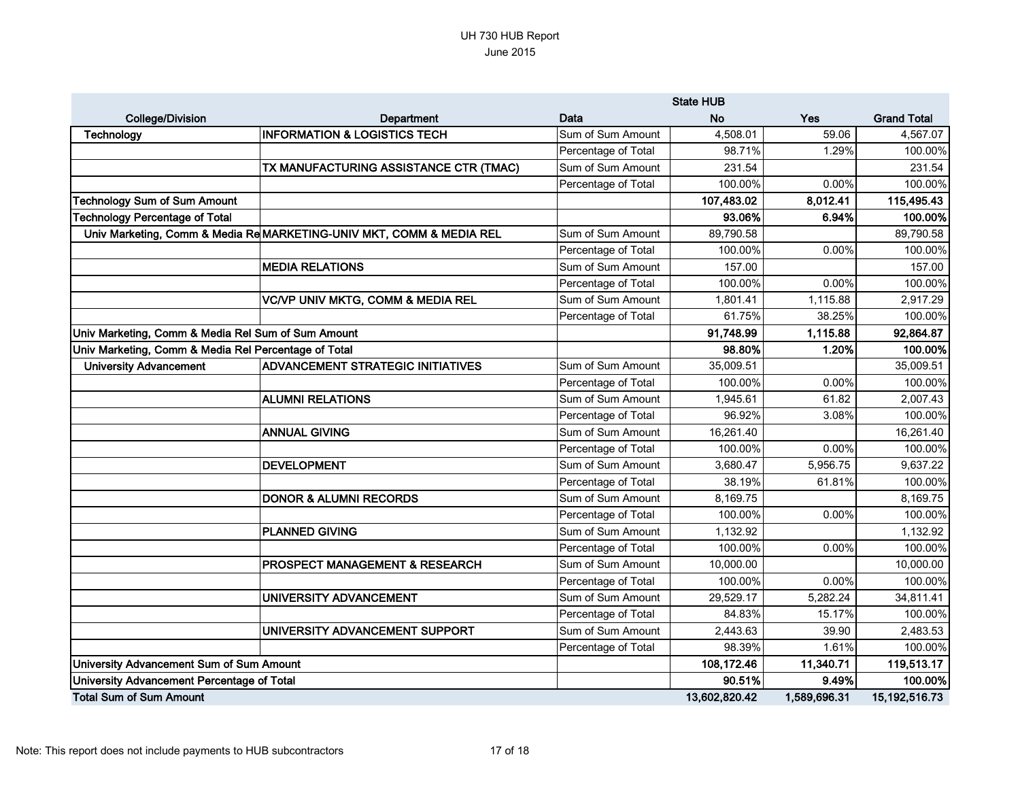|                                                      |                                                                      | <b>State HUB</b>    |               |              |                    |
|------------------------------------------------------|----------------------------------------------------------------------|---------------------|---------------|--------------|--------------------|
| <b>College/Division</b>                              | <b>Department</b>                                                    | Data                | <b>No</b>     | Yes          | <b>Grand Total</b> |
| <b>Technology</b>                                    | <b>INFORMATION &amp; LOGISTICS TECH</b>                              | Sum of Sum Amount   | 4,508.01      | 59.06        | 4,567.07           |
|                                                      |                                                                      | Percentage of Total | 98.71%        | 1.29%        | 100.00%            |
|                                                      | TX MANUFACTURING ASSISTANCE CTR (TMAC)                               | Sum of Sum Amount   | 231.54        |              | 231.54             |
|                                                      |                                                                      | Percentage of Total | 100.00%       | 0.00%        | 100.00%            |
| <b>Technology Sum of Sum Amount</b>                  |                                                                      |                     | 107,483.02    | 8,012.41     | 115,495.43         |
| <b>Technology Percentage of Total</b>                |                                                                      |                     | 93.06%        | 6.94%        | 100.00%            |
|                                                      | Univ Marketing, Comm & Media Re MARKETING-UNIV MKT, COMM & MEDIA REL | Sum of Sum Amount   | 89,790.58     |              | 89,790.58          |
|                                                      |                                                                      | Percentage of Total | 100.00%       | 0.00%        | 100.00%            |
|                                                      | <b>MEDIA RELATIONS</b>                                               | Sum of Sum Amount   | 157.00        |              | 157.00             |
|                                                      |                                                                      | Percentage of Total | 100.00%       | 0.00%        | 100.00%            |
|                                                      | <b>VC/VP UNIV MKTG, COMM &amp; MEDIA REL</b>                         | Sum of Sum Amount   | 1,801.41      | 1,115.88     | 2,917.29           |
|                                                      |                                                                      | Percentage of Total | 61.75%        | 38.25%       | 100.00%            |
| Univ Marketing, Comm & Media Rel Sum of Sum Amount   |                                                                      |                     | 91,748.99     | 1,115.88     | 92,864.87          |
| Univ Marketing, Comm & Media Rel Percentage of Total |                                                                      |                     | 98.80%        | 1.20%        | 100.00%            |
| <b>University Advancement</b>                        | <b>ADVANCEMENT STRATEGIC INITIATIVES</b>                             | Sum of Sum Amount   | 35,009.51     |              | 35,009.51          |
|                                                      |                                                                      | Percentage of Total | 100.00%       | 0.00%        | 100.00%            |
|                                                      | <b>ALUMNI RELATIONS</b>                                              | Sum of Sum Amount   | 1,945.61      | 61.82        | 2,007.43           |
|                                                      |                                                                      | Percentage of Total | 96.92%        | 3.08%        | 100.00%            |
|                                                      | <b>ANNUAL GIVING</b>                                                 | Sum of Sum Amount   | 16,261.40     |              | 16,261.40          |
|                                                      |                                                                      | Percentage of Total | 100.00%       | 0.00%        | 100.00%            |
|                                                      | <b>DEVELOPMENT</b>                                                   | Sum of Sum Amount   | 3,680.47      | 5,956.75     | 9,637.22           |
|                                                      |                                                                      | Percentage of Total | 38.19%        | 61.81%       | 100.00%            |
|                                                      | <b>DONOR &amp; ALUMNI RECORDS</b>                                    | Sum of Sum Amount   | 8,169.75      |              | 8,169.75           |
|                                                      |                                                                      | Percentage of Total | 100.00%       | 0.00%        | 100.00%            |
|                                                      | <b>PLANNED GIVING</b>                                                | Sum of Sum Amount   | 1,132.92      |              | 1,132.92           |
|                                                      |                                                                      | Percentage of Total | 100.00%       | 0.00%        | 100.00%            |
|                                                      | <b>PROSPECT MANAGEMENT &amp; RESEARCH</b>                            | Sum of Sum Amount   | 10,000.00     |              | 10,000.00          |
|                                                      |                                                                      | Percentage of Total | 100.00%       | $0.00\%$     | 100.00%            |
|                                                      | UNIVERSITY ADVANCEMENT                                               | Sum of Sum Amount   | 29,529.17     | 5,282.24     | 34,811.41          |
|                                                      |                                                                      | Percentage of Total | 84.83%        | 15.17%       | 100.00%            |
|                                                      | UNIVERSITY ADVANCEMENT SUPPORT                                       | Sum of Sum Amount   | 2,443.63      | 39.90        | 2,483.53           |
|                                                      |                                                                      | Percentage of Total | 98.39%        | 1.61%        | 100.00%            |
| University Advancement Sum of Sum Amount             |                                                                      |                     | 108,172.46    | 11,340.71    | 119,513.17         |
| University Advancement Percentage of Total           |                                                                      |                     | 90.51%        | 9.49%        | 100.00%            |
| <b>Total Sum of Sum Amount</b>                       |                                                                      |                     | 13,602,820.42 | 1,589,696.31 | 15, 192, 516. 73   |